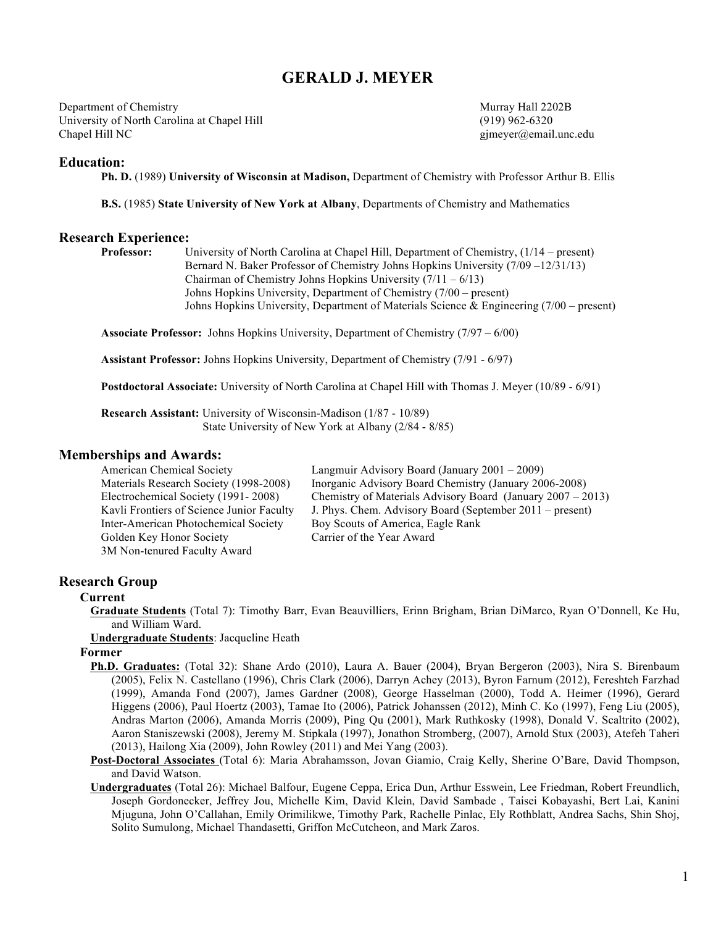## **GERALD J. MEYER**

Department of Chemistry Murray Hall 2202B University of North Carolina at Chapel Hill (919) 962-6320 Chapel Hill NC gjmeyer@email.unc.edu

## **Education:**

**Ph. D.** (1989) **University of Wisconsin at Madison,** Department of Chemistry with Professor Arthur B. Ellis

**B.S.** (1985) **State University of New York at Albany**, Departments of Chemistry and Mathematics

# **Research Experience:**<br>Professor: l

**Professor:** University of North Carolina at Chapel Hill, Department of Chemistry, (1/14 – present) Bernard N. Baker Professor of Chemistry Johns Hopkins University (7/09 –12/31/13) Chairman of Chemistry Johns Hopkins University  $(7/11 - 6/13)$ Johns Hopkins University, Department of Chemistry (7/00 – present) Johns Hopkins University, Department of Materials Science & Engineering (7/00 – present)

**Associate Professor:** Johns Hopkins University, Department of Chemistry (7/97 – 6/00)

**Assistant Professor:** Johns Hopkins University, Department of Chemistry (7/91 - 6/97)

**Postdoctoral Associate:** University of North Carolina at Chapel Hill with Thomas J. Meyer (10/89 - 6/91)

**Research Assistant:** University of Wisconsin-Madison (1/87 - 10/89) State University of New York at Albany (2/84 - 8/85)

#### **Memberships and Awards:**

| American Chemical Society                 | Langmuir Advisory Board (January 2001 – 2009)                  |
|-------------------------------------------|----------------------------------------------------------------|
| Materials Research Society (1998-2008)    | Inorganic Advisory Board Chemistry (January 2006-2008)         |
| Electrochemical Society (1991-2008)       | Chemistry of Materials Advisory Board (January $2007 - 2013$ ) |
| Kavli Frontiers of Science Junior Faculty | J. Phys. Chem. Advisory Board (September 2011 – present)       |
| Inter-American Photochemical Society      | Boy Scouts of America, Eagle Rank                              |
| Golden Key Honor Society                  | Carrier of the Year Award                                      |
| 3M Non-tenured Faculty Award              |                                                                |

## **Research Group**

#### **Current**

- **Graduate Students** (Total 7): Timothy Barr, Evan Beauvilliers, Erinn Brigham, Brian DiMarco, Ryan O'Donnell, Ke Hu, and William Ward.
- **Undergraduate Students**: Jacqueline Heath

#### **Former**

- **Ph.D. Graduates:** (Total 32): Shane Ardo (2010), Laura A. Bauer (2004), Bryan Bergeron (2003), Nira S. Birenbaum (2005), Felix N. Castellano (1996), Chris Clark (2006), Darryn Achey (2013), Byron Farnum (2012), Fereshteh Farzhad (1999), Amanda Fond (2007), James Gardner (2008), George Hasselman (2000), Todd A. Heimer (1996), Gerard Higgens (2006), Paul Hoertz (2003), Tamae Ito (2006), Patrick Johanssen (2012), Minh C. Ko (1997), Feng Liu (2005), Andras Marton (2006), Amanda Morris (2009), Ping Qu (2001), Mark Ruthkosky (1998), Donald V. Scaltrito (2002), Aaron Staniszewski (2008), Jeremy M. Stipkala (1997), Jonathon Stromberg, (2007), Arnold Stux (2003), Atefeh Taheri (2013), Hailong Xia (2009), John Rowley (2011) and Mei Yang (2003).
- **Post-Doctoral Associates** (Total 6): Maria Abrahamsson, Jovan Giamio, Craig Kelly, Sherine O'Bare, David Thompson, and David Watson.
- **Undergraduates** (Total 26): Michael Balfour, Eugene Ceppa, Erica Dun, Arthur Esswein, Lee Friedman, Robert Freundlich, Joseph Gordonecker, Jeffrey Jou, Michelle Kim, David Klein, David Sambade , Taisei Kobayashi, Bert Lai, Kanini Mjuguna, John O'Callahan, Emily Orimilikwe, Timothy Park, Rachelle Pinlac, Ely Rothblatt, Andrea Sachs, Shin Shoj, Solito Sumulong, Michael Thandasetti, Griffon McCutcheon, and Mark Zaros.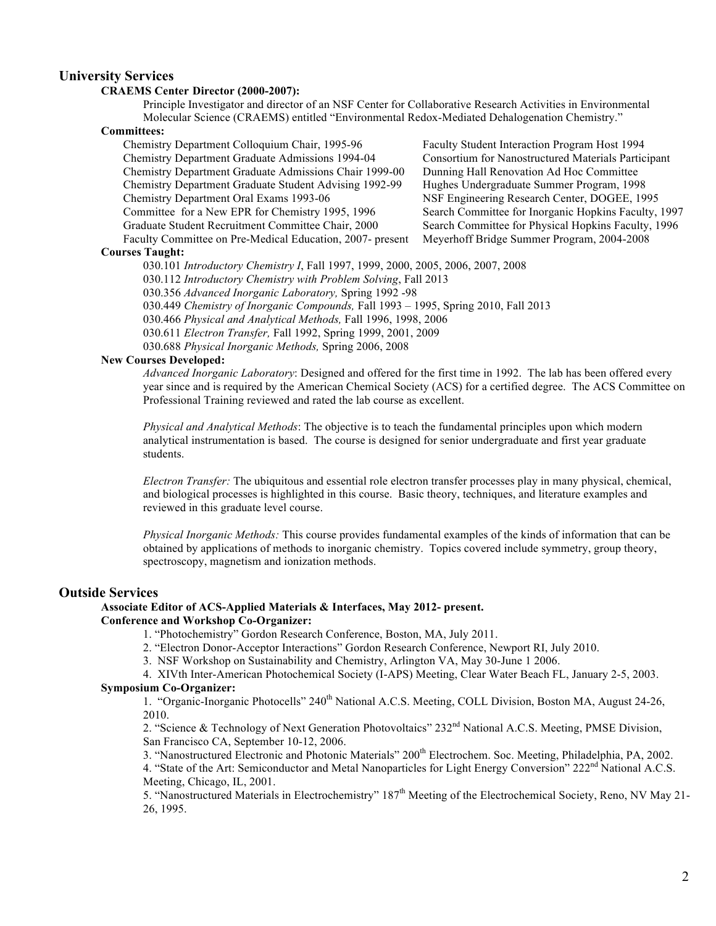## **University Services**

#### **CRAEMS Center Director (2000-2007):**

Principle Investigator and director of an NSF Center for Collaborative Research Activities in Environmental Molecular Science (CRAEMS) entitled "Environmental Redox-Mediated Dehalogenation Chemistry."

#### **Committees:**

Chemistry Department Colloquium Chair, 1995-96 Faculty Student Interaction Program Host 1994 Chemistry Department Graduate Admissions 1994-04 Consortium for Nanostructured Materials Participant Chemistry Department Graduate Admissions Chair 1999-00 Dunning Hall Renovation Ad Hoc Committee Chemistry Department Graduate Student Advising 1992-99 Hughes Undergraduate Summer Program, 1998 Chemistry Department Oral Exams 1993-06 NSF Engineering Research Center, DOGEE, 1995 Committee for a New EPR for Chemistry 1995, 1996 Search Committee for Inorganic Hopkins Faculty, 1997 Graduate Student Recruitment Committee Chair, 2000 Faculty Committee on Pre-Medical Education, 2007- present

Search Committee for Physical Hopkins Faculty, 1996 Meyerhoff Bridge Summer Program, 2004-2008

#### **Courses Taught:**

030.101 *Introductory Chemistry I*, Fall 1997, 1999, 2000, 2005, 2006, 2007, 2008

030.112 *Introductory Chemistry with Problem Solving*, Fall 2013

030.356 *Advanced Inorganic Laboratory,* Spring 1992 -98

030.449 *Chemistry of Inorganic Compounds,* Fall 1993 – 1995, Spring 2010, Fall 2013

030.466 *Physical and Analytical Methods,* Fall 1996, 1998, 2006

030.611 *Electron Transfer,* Fall 1992, Spring 1999, 2001, 2009

030.688 *Physical Inorganic Methods,* Spring 2006, 2008

## **New Courses Developed:**

*Advanced Inorganic Laboratory*: Designed and offered for the first time in 1992. The lab has been offered every year since and is required by the American Chemical Society (ACS) for a certified degree. The ACS Committee on Professional Training reviewed and rated the lab course as excellent.

*Physical and Analytical Methods*: The objective is to teach the fundamental principles upon which modern analytical instrumentation is based. The course is designed for senior undergraduate and first year graduate students.

*Electron Transfer:* The ubiquitous and essential role electron transfer processes play in many physical, chemical, and biological processes is highlighted in this course. Basic theory, techniques, and literature examples and reviewed in this graduate level course.

*Physical Inorganic Methods:* This course provides fundamental examples of the kinds of information that can be obtained by applications of methods to inorganic chemistry. Topics covered include symmetry, group theory, spectroscopy, magnetism and ionization methods.

#### **Outside Services**

## **Associate Editor of ACS-Applied Materials & Interfaces, May 2012- present.**

## **Conference and Workshop Co-Organizer:**

- 1. "Photochemistry" Gordon Research Conference, Boston, MA, July 2011.
- 2. "Electron Donor-Acceptor Interactions" Gordon Research Conference, Newport RI, July 2010.
- 3. NSF Workshop on Sustainability and Chemistry, Arlington VA, May 30-June 1 2006.

4. XIVth Inter-American Photochemical Society (I-APS) Meeting, Clear Water Beach FL, January 2-5, 2003.

#### **Symposium Co-Organizer:**

1. "Organic-Inorganic Photocells" 240<sup>th</sup> National A.C.S. Meeting, COLL Division, Boston MA, August 24-26, 2010.

2. "Science & Technology of Next Generation Photovoltaics" 232<sup>nd</sup> National A.C.S. Meeting, PMSE Division, San Francisco CA, September 10-12, 2006.

3. "Nanostructured Electronic and Photonic Materials" 200<sup>th</sup> Electrochem. Soc. Meeting, Philadelphia, PA, 2002. 4. "State of the Art: Semiconductor and Metal Nanoparticles for Light Energy Conversion" 222<sup>nd</sup> National A.C.S.

Meeting, Chicago, IL, 2001.

5. "Nanostructured Materials in Electrochemistry" 187th Meeting of the Electrochemical Society, Reno, NV May 21- 26, 1995.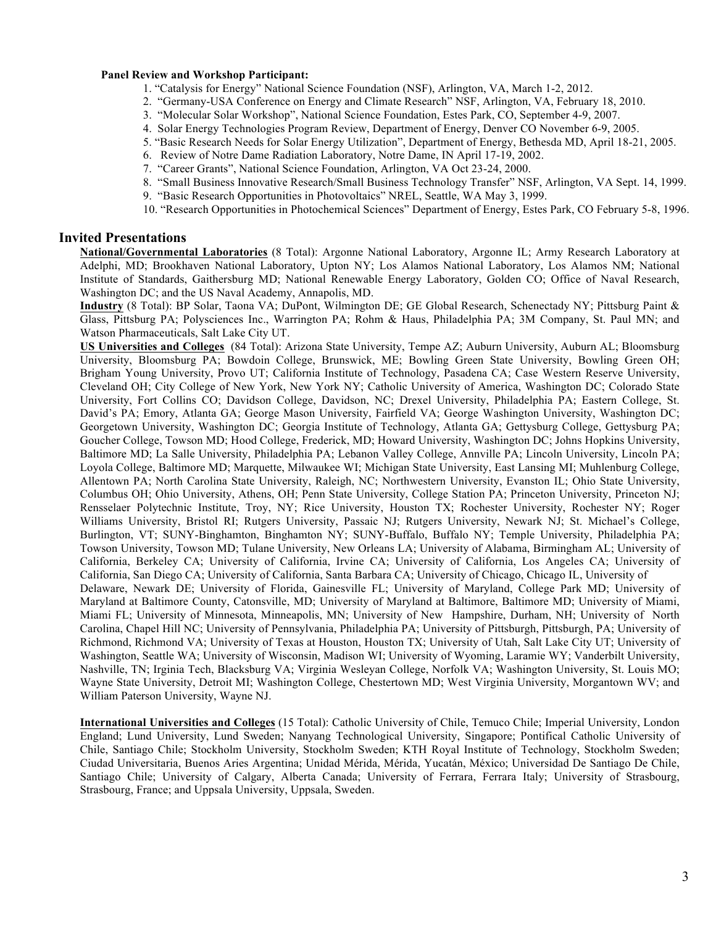#### **Panel Review and Workshop Participant:**

- 1. "Catalysis for Energy" National Science Foundation (NSF), Arlington, VA, March 1-2, 2012.
- 2. "Germany-USA Conference on Energy and Climate Research" NSF, Arlington, VA, February 18, 2010.
- 3. "Molecular Solar Workshop", National Science Foundation, Estes Park, CO, September 4-9, 2007.
- 4. Solar Energy Technologies Program Review, Department of Energy, Denver CO November 6-9, 2005.
- 5. "Basic Research Needs for Solar Energy Utilization", Department of Energy, Bethesda MD, April 18-21, 2005.
- 6. Review of Notre Dame Radiation Laboratory, Notre Dame, IN April 17-19, 2002.
- 7. "Career Grants", National Science Foundation, Arlington, VA Oct 23-24, 2000.
- 8. "Small Business Innovative Research/Small Business Technology Transfer" NSF, Arlington, VA Sept. 14, 1999.
- 9. "Basic Research Opportunities in Photovoltaics" NREL, Seattle, WA May 3, 1999.
- 10. "Research Opportunities in Photochemical Sciences" Department of Energy, Estes Park, CO February 5-8, 1996.

## **Invited Presentations**

**National/Governmental Laboratories** (8 Total): Argonne National Laboratory, Argonne IL; Army Research Laboratory at Adelphi, MD; Brookhaven National Laboratory, Upton NY; Los Alamos National Laboratory, Los Alamos NM; National Institute of Standards, Gaithersburg MD; National Renewable Energy Laboratory, Golden CO; Office of Naval Research, Washington DC; and the US Naval Academy, Annapolis, MD.

**Industry** (8 Total): BP Solar, Taona VA; DuPont, Wilmington DE; GE Global Research, Schenectady NY; Pittsburg Paint & Glass, Pittsburg PA; Polysciences Inc., Warrington PA; Rohm & Haus, Philadelphia PA; 3M Company, St. Paul MN; and Watson Pharmaceuticals, Salt Lake City UT.

**US Universities and Colleges** (84 Total): Arizona State University, Tempe AZ; Auburn University, Auburn AL; Bloomsburg University, Bloomsburg PA; Bowdoin College, Brunswick, ME; Bowling Green State University, Bowling Green OH; Brigham Young University, Provo UT; California Institute of Technology, Pasadena CA; Case Western Reserve University, Cleveland OH; City College of New York, New York NY; Catholic University of America, Washington DC; Colorado State University, Fort Collins CO; Davidson College, Davidson, NC; Drexel University, Philadelphia PA; Eastern College, St. David's PA; Emory, Atlanta GA; George Mason University, Fairfield VA; George Washington University, Washington DC; Georgetown University, Washington DC; Georgia Institute of Technology, Atlanta GA; Gettysburg College, Gettysburg PA; Goucher College, Towson MD; Hood College, Frederick, MD; Howard University, Washington DC; Johns Hopkins University, Baltimore MD; La Salle University, Philadelphia PA; Lebanon Valley College, Annville PA; Lincoln University, Lincoln PA; Loyola College, Baltimore MD; Marquette, Milwaukee WI; Michigan State University, East Lansing MI; Muhlenburg College, Allentown PA; North Carolina State University, Raleigh, NC; Northwestern University, Evanston IL; Ohio State University, Columbus OH; Ohio University, Athens, OH; Penn State University, College Station PA; Princeton University, Princeton NJ; Rensselaer Polytechnic Institute, Troy, NY; Rice University, Houston TX; Rochester University, Rochester NY; Roger Williams University, Bristol RI; Rutgers University, Passaic NJ; Rutgers University, Newark NJ; St. Michael's College, Burlington, VT; SUNY-Binghamton, Binghamton NY; SUNY-Buffalo, Buffalo NY; Temple University, Philadelphia PA; Towson University, Towson MD; Tulane University, New Orleans LA; University of Alabama, Birmingham AL; University of California, Berkeley CA; University of California, Irvine CA; University of California, Los Angeles CA; University of California, San Diego CA; University of California, Santa Barbara CA; University of Chicago, Chicago IL, University of Delaware, Newark DE; University of Florida, Gainesville FL; University of Maryland, College Park MD; University of Maryland at Baltimore County, Catonsville, MD; University of Maryland at Baltimore, Baltimore MD; University of Miami, Miami FL; University of Minnesota, Minneapolis, MN; University of New Hampshire, Durham, NH; University of North Carolina, Chapel Hill NC; University of Pennsylvania, Philadelphia PA; University of Pittsburgh, Pittsburgh, PA; University of Richmond, Richmond VA; University of Texas at Houston, Houston TX; University of Utah, Salt Lake City UT; University of Washington, Seattle WA; University of Wisconsin, Madison WI; University of Wyoming, Laramie WY; Vanderbilt University,

Nashville, TN; Irginia Tech, Blacksburg VA; Virginia Wesleyan College, Norfolk VA; Washington University, St. Louis MO; Wayne State University, Detroit MI; Washington College, Chestertown MD; West Virginia University, Morgantown WV; and William Paterson University, Wayne NJ.

**International Universities and Colleges** (15 Total): Catholic University of Chile, Temuco Chile; Imperial University, London England; Lund University, Lund Sweden; Nanyang Technological University, Singapore; Pontifical Catholic University of Chile, Santiago Chile; Stockholm University, Stockholm Sweden; KTH Royal Institute of Technology, Stockholm Sweden; Ciudad Universitaria, Buenos Aries Argentina; Unidad Mérida, Mérida, Yucatán, México; Universidad De Santiago De Chile, Santiago Chile; University of Calgary, Alberta Canada; University of Ferrara, Ferrara Italy; University of Strasbourg, Strasbourg, France; and Uppsala University, Uppsala, Sweden.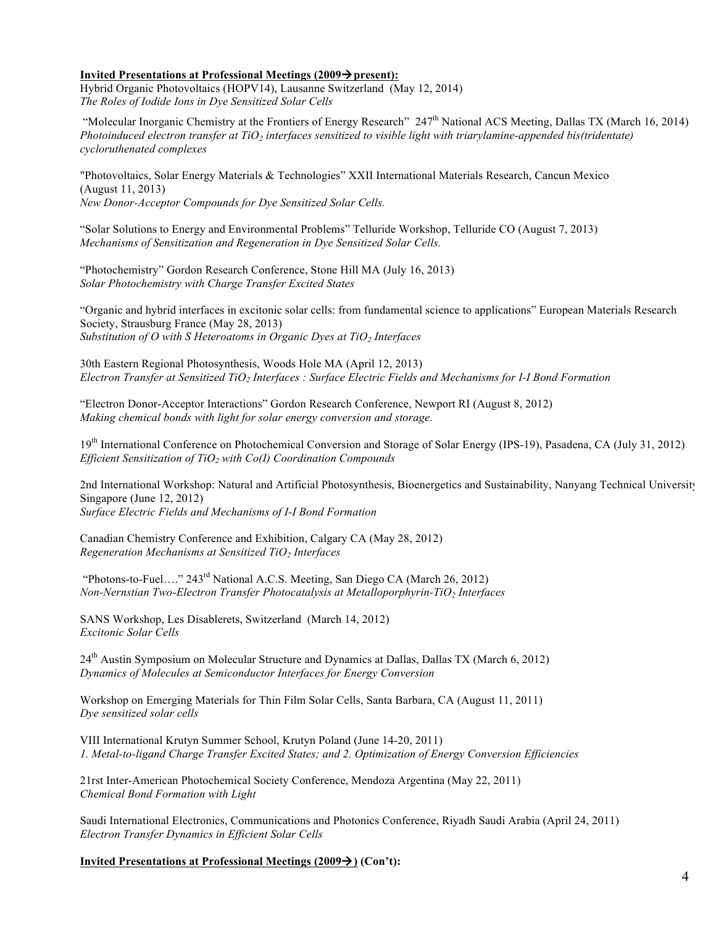#### **Invited Presentations at Professional Meetings (2009** $\rightarrow$  **present):**

Hybrid Organic Photovoltaics (HOPV14), Lausanne Switzerland (May 12, 2014) *The Roles of Iodide Ions in Dye Sensitized Solar Cells*

"Molecular Inorganic Chemistry at the Frontiers of Energy Research"  $247<sup>th</sup>$  National ACS Meeting, Dallas TX (March 16, 2014) *Photoinduced electron transfer at TiO2 interfaces sensitized to visible light with triarylamine-appended bis(tridentate) cycloruthenated complexes*

"Photovoltaics, Solar Energy Materials & Technologies" XXII International Materials Research, Cancun Mexico (August 11, 2013) *New Donor-Acceptor Compounds for Dye Sensitized Solar Cells.*

"Solar Solutions to Energy and Environmental Problems" Telluride Workshop, Telluride CO (August 7, 2013) *Mechanisms of Sensitization and Regeneration in Dye Sensitized Solar Cells.*

"Photochemistry" Gordon Research Conference, Stone Hill MA (July 16, 2013) *Solar Photochemistry with Charge Transfer Excited States*

"Organic and hybrid interfaces in excitonic solar cells: from fundamental science to applications" European Materials Research Society, Strausburg France (May 28, 2013) *Substitution of O with S Heteroatoms in Organic Dyes at TiO<sub>2</sub> Interfaces* 

30th Eastern Regional Photosynthesis, Woods Hole MA (April 12, 2013) *Electron Transfer at Sensitized TiO2 Interfaces : Surface Electric Fields and Mechanisms for I-I Bond Formation*

"Electron Donor-Acceptor Interactions" Gordon Research Conference, Newport RI (August 8, 2012) *Making chemical bonds with light for solar energy conversion and storage.*

19<sup>th</sup> International Conference on Photochemical Conversion and Storage of Solar Energy (IPS-19), Pasadena, CA (July 31, 2012) *Efficient Sensitization of TiO2 with Co(I) Coordination Compounds*

2nd International Workshop: Natural and Artificial Photosynthesis, Bioenergetics and Sustainability, Nanyang Technical University, Singapore (June 12, 2012) *Surface Electric Fields and Mechanisms of I-I Bond Formation*

Canadian Chemistry Conference and Exhibition, Calgary CA (May 28, 2012) *Regeneration Mechanisms at Sensitized TiO<sub>2</sub> Interfaces* 

"Photons-to-Fuel…." 243rd National A.C.S. Meeting, San Diego CA (March 26, 2012) *Non-Nernstian Two-Electron Transfer Photocatalysis at Metalloporphyrin-TiO<sub>2</sub> Interfaces* 

SANS Workshop, Les Disablerets, Switzerland (March 14, 2012) *Excitonic Solar Cells*

24<sup>th</sup> Austin Symposium on Molecular Structure and Dynamics at Dallas, Dallas TX (March 6, 2012) *Dynamics of Molecules at Semiconductor Interfaces for Energy Conversion*

Workshop on Emerging Materials for Thin Film Solar Cells, Santa Barbara, CA (August 11, 2011) *Dye sensitized solar cells*

VIII International Krutyn Summer School, Krutyn Poland (June 14-20, 2011) *1. Metal-to-ligand Charge Transfer Excited States; and 2. Optimization of Energy Conversion Efficiencies*

21rst Inter-American Photochemical Society Conference, Mendoza Argentina (May 22, 2011) *Chemical Bond Formation with Light*

Saudi International Electronics, Communications and Photonics Conference, Riyadh Saudi Arabia (April 24, 2011) *Electron Transfer Dynamics in Efficient Solar Cells*

**Invited Presentations at Professional Meetings (2009** $\rightarrow$ **) (Con't):**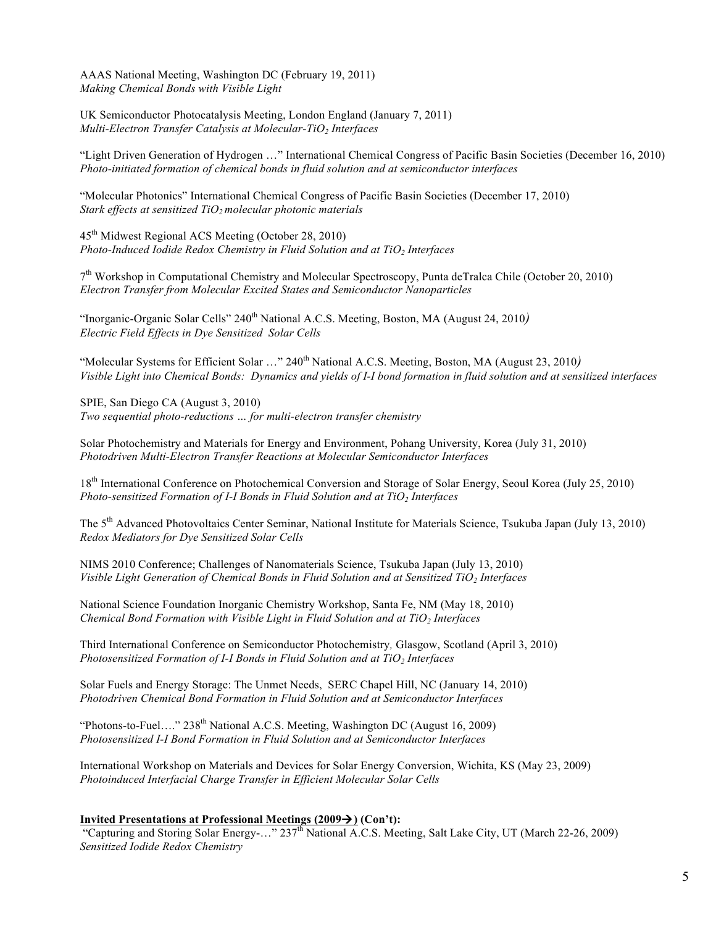AAAS National Meeting, Washington DC (February 19, 2011) *Making Chemical Bonds with Visible Light*

UK Semiconductor Photocatalysis Meeting, London England (January 7, 2011) *Multi-Electron Transfer Catalysis at Molecular-TiO2 Interfaces*

"Light Driven Generation of Hydrogen …" International Chemical Congress of Pacific Basin Societies (December 16, 2010) *Photo-initiated formation of chemical bonds in fluid solution and at semiconductor interfaces*

"Molecular Photonics" International Chemical Congress of Pacific Basin Societies (December 17, 2010) *Stark effects at sensitized TiO<sub>2</sub> molecular photonic materials* 

45th Midwest Regional ACS Meeting (October 28, 2010) *Photo-Induced Iodide Redox Chemistry in Fluid Solution and at TiO<sub>2</sub> Interfaces* 

7th Workshop in Computational Chemistry and Molecular Spectroscopy, Punta deTralca Chile (October 20, 2010) *Electron Transfer from Molecular Excited States and Semiconductor Nanoparticles*

"Inorganic-Organic Solar Cells" 240<sup>th</sup> National A.C.S. Meeting, Boston, MA (August 24, 2010*) Electric Field Effects in Dye Sensitized Solar Cells*

"Molecular Systems for Efficient Solar ..." 240<sup>th</sup> National A.C.S. Meeting, Boston, MA (August 23, 2010) *Visible Light into Chemical Bonds: Dynamics and yields of I-I bond formation in fluid solution and at sensitized interfaces*

SPIE, San Diego CA (August 3, 2010) *Two sequential photo-reductions … for multi-electron transfer chemistry*

Solar Photochemistry and Materials for Energy and Environment, Pohang University, Korea (July 31, 2010) *Photodriven Multi-Electron Transfer Reactions at Molecular Semiconductor Interfaces*

18th International Conference on Photochemical Conversion and Storage of Solar Energy, Seoul Korea (July 25, 2010) *Photo-sensitized Formation of I-I Bonds in Fluid Solution and at TiO<sub>2</sub> Interfaces* 

The 5<sup>th</sup> Advanced Photovoltaics Center Seminar, National Institute for Materials Science, Tsukuba Japan (July 13, 2010) *Redox Mediators for Dye Sensitized Solar Cells*

NIMS 2010 Conference; Challenges of Nanomaterials Science, Tsukuba Japan (July 13, 2010) *Visible Light Generation of Chemical Bonds in Fluid Solution and at Sensitized TiO<sub>2</sub> Interfaces* 

National Science Foundation Inorganic Chemistry Workshop, Santa Fe, NM (May 18, 2010) *Chemical Bond Formation with Visible Light in Fluid Solution and at TiO<sub>2</sub> Interfaces* 

Third International Conference on Semiconductor Photochemistry*,* Glasgow, Scotland (April 3, 2010) *Photosensitized Formation of I-I Bonds in Fluid Solution and at TiO<sub>2</sub> Interfaces* 

Solar Fuels and Energy Storage: The Unmet Needs, SERC Chapel Hill, NC (January 14, 2010) *Photodriven Chemical Bond Formation in Fluid Solution and at Semiconductor Interfaces*

"Photons-to-Fuel...." 238<sup>th</sup> National A.C.S. Meeting, Washington DC (August 16, 2009) *Photosensitized I-I Bond Formation in Fluid Solution and at Semiconductor Interfaces*

International Workshop on Materials and Devices for Solar Energy Conversion, Wichita, KS (May 23, 2009) *Photoinduced Interfacial Charge Transfer in Efficient Molecular Solar Cells*

#### **Invited Presentations at Professional Meetings**  $(2009 \rightarrow)$  **(Con't):**

"Capturing and Storing Solar Energy-…" 237th National A.C.S. Meeting, Salt Lake City, UT (March 22-26, 2009) *Sensitized Iodide Redox Chemistry*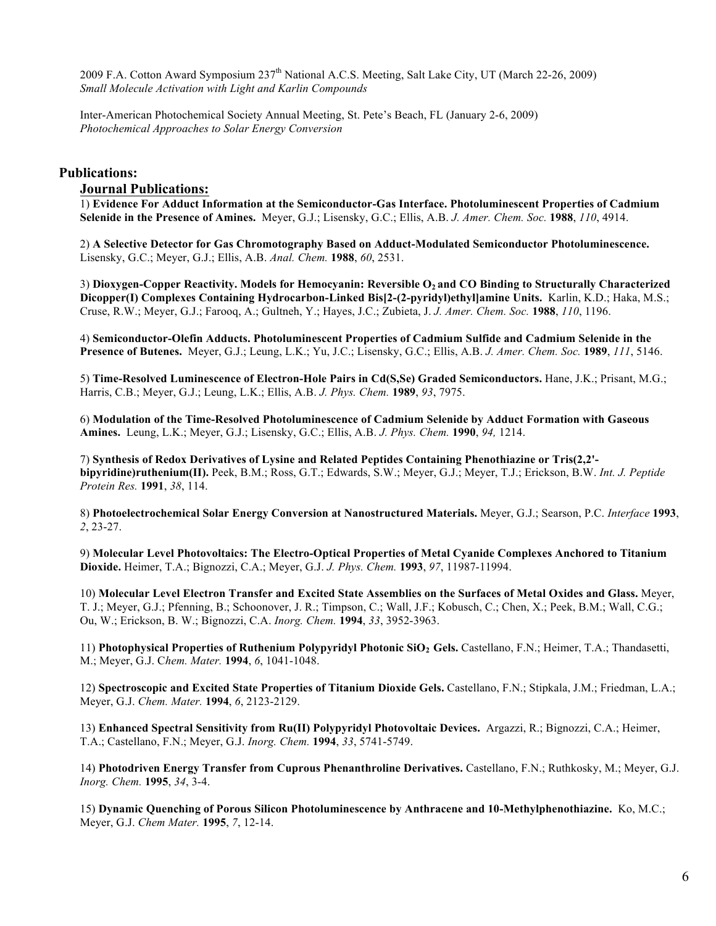2009 F.A. Cotton Award Symposium 237<sup>th</sup> National A.C.S. Meeting, Salt Lake City, UT (March 22-26, 2009) *Small Molecule Activation with Light and Karlin Compounds*

Inter-American Photochemical Society Annual Meeting, St. Pete's Beach, FL (January 2-6, 2009) *Photochemical Approaches to Solar Energy Conversion*

## **Publications:**

## **Journal Publications:**

1) **Evidence For Adduct Information at the Semiconductor-Gas Interface. Photoluminescent Properties of Cadmium Selenide in the Presence of Amines.** Meyer, G.J.; Lisensky, G.C.; Ellis, A.B. *J. Amer. Chem. Soc.* **1988**, *110*, 4914.

2) **A Selective Detector for Gas Chromotography Based on Adduct-Modulated Semiconductor Photoluminescence.** Lisensky, G.C.; Meyer, G.J.; Ellis, A.B. *Anal. Chem.* **1988**, *60*, 2531.

3) Dioxygen-Copper Reactivity. Models for Hemocyanin: Reversible O<sub>2</sub> and CO Binding to Structurally Characterized **Dicopper(I) Complexes Containing Hydrocarbon-Linked Bis[2-(2-pyridyl)ethyl]amine Units.** Karlin, K.D.; Haka, M.S.; Cruse, R.W.; Meyer, G.J.; Farooq, A.; Gultneh, Y.; Hayes, J.C.; Zubieta, J. *J. Amer. Chem. Soc.* **1988**, *110*, 1196.

4) **Semiconductor-Olefin Adducts. Photoluminescent Properties of Cadmium Sulfide and Cadmium Selenide in the Presence of Butenes.** Meyer, G.J.; Leung, L.K.; Yu, J.C.; Lisensky, G.C.; Ellis, A.B. *J. Amer. Chem. Soc.* **1989**, *111*, 5146.

5) **Time-Resolved Luminescence of Electron-Hole Pairs in Cd(S,Se) Graded Semiconductors.** Hane, J.K.; Prisant, M.G.; Harris, C.B.; Meyer, G.J.; Leung, L.K.; Ellis, A.B. *J. Phys. Chem.* **1989**, *93*, 7975.

6) **Modulation of the Time-Resolved Photoluminescence of Cadmium Selenide by Adduct Formation with Gaseous Amines.** Leung, L.K.; Meyer, G.J.; Lisensky, G.C.; Ellis, A.B. *J. Phys. Chem.* **1990**, *94,* 1214.

7) **Synthesis of Redox Derivatives of Lysine and Related Peptides Containing Phenothiazine or Tris(2,2' bipyridine)ruthenium(II).** Peek, B.M.; Ross, G.T.; Edwards, S.W.; Meyer, G.J.; Meyer, T.J.; Erickson, B.W. *Int. J. Peptide Protein Res.* **1991**, *38*, 114.

8) **Photoelectrochemical Solar Energy Conversion at Nanostructured Materials.** Meyer, G.J.; Searson, P.C. *Interface* **1993**, *2*, 23-27.

9) **Molecular Level Photovoltaics: The Electro-Optical Properties of Metal Cyanide Complexes Anchored to Titanium Dioxide.** Heimer, T.A.; Bignozzi, C.A.; Meyer, G.J. *J. Phys. Chem.* **1993**, *97*, 11987-11994.

10) **Molecular Level Electron Transfer and Excited State Assemblies on the Surfaces of Metal Oxides and Glass.** Meyer, T. J.; Meyer, G.J.; Pfenning, B.; Schoonover, J. R.; Timpson, C.; Wall, J.F.; Kobusch, C.; Chen, X.; Peek, B.M.; Wall, C.G.; Ou, W.; Erickson, B. W.; Bignozzi, C.A. *Inorg. Chem.* **1994**, *33*, 3952-3963.

11) **Photophysical Properties of Ruthenium Polypyridyl Photonic SiO2 Gels.** Castellano, F.N.; Heimer, T.A.; Thandasetti, M.; Meyer, G.J. C*hem. Mater.* **1994**, *6*, 1041-1048.

12) **Spectroscopic and Excited State Properties of Titanium Dioxide Gels.** Castellano, F.N.; Stipkala, J.M.; Friedman, L.A.; Meyer, G.J. *Chem. Mater.* **1994**, *6*, 2123-2129.

13) **Enhanced Spectral Sensitivity from Ru(II) Polypyridyl Photovoltaic Devices.** Argazzi, R.; Bignozzi, C.A.; Heimer, T.A.; Castellano, F.N.; Meyer, G.J. *Inorg. Chem.* **1994**, *33*, 5741-5749.

14) **Photodriven Energy Transfer from Cuprous Phenanthroline Derivatives.** Castellano, F.N.; Ruthkosky, M.; Meyer, G.J. *Inorg. Chem.* **1995**, *34*, 3-4.

15) **Dynamic Quenching of Porous Silicon Photoluminescence by Anthracene and 10-Methylphenothiazine.** Ko, M.C.; Meyer, G.J. *Chem Mater.* **1995**, *7*, 12-14.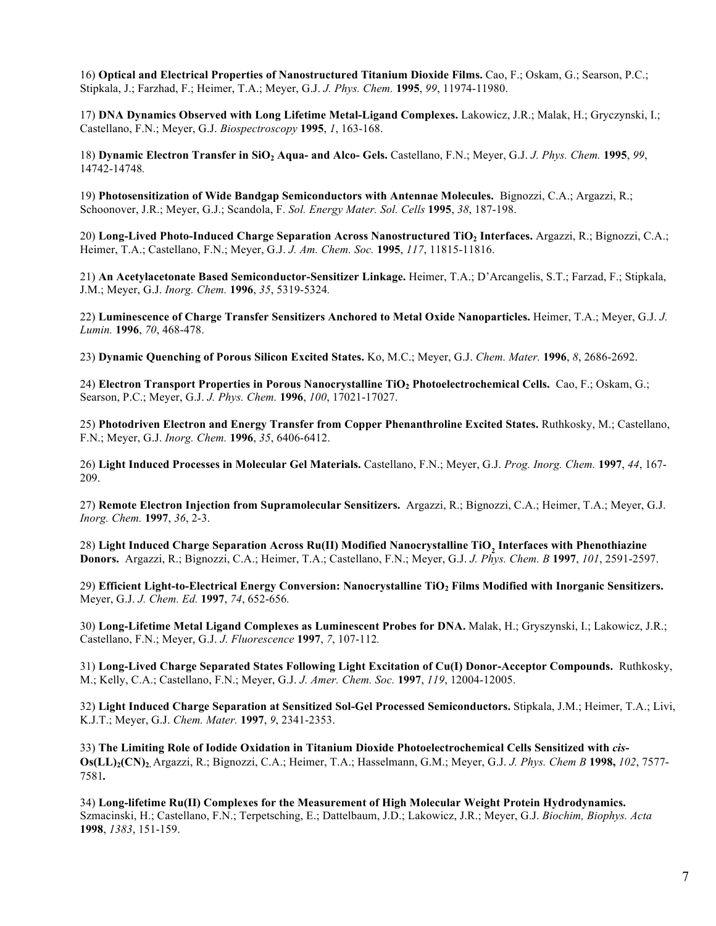16) **Optical and Electrical Properties of Nanostructured Titanium Dioxide Films.** Cao, F.; Oskam, G.; Searson, P.C.; Stipkala, J.; Farzhad, F.; Heimer, T.A.; Meyer, G.J. *J. Phys. Chem.* **1995**, *99*, 11974-11980.

17) **DNA Dynamics Observed with Long Lifetime Metal-Ligand Complexes.** Lakowicz, J.R.; Malak, H.; Gryczynski, I.; Castellano, F.N.; Meyer, G.J. *Biospectroscopy* **1995**, *1*, 163-168.

18) **Dynamic Electron Transfer in SiO2 Aqua- and Alco- Gels.** Castellano, F.N.; Meyer, G.J. *J. Phys. Chem.* **1995**, *99*, 14742-14748*.*

19) **Photosensitization of Wide Bandgap Semiconductors with Antennae Molecules.** Bignozzi, C.A.; Argazzi, R.; Schoonover, J.R.; Meyer, G.J.; Scandola, F. *Sol. Energy Mater. Sol. Cells* **1995**, *38*, 187-198.

20) **Long-Lived Photo-Induced Charge Separation Across Nanostructured TiO2 Interfaces.** Argazzi, R.; Bignozzi, C.A.; Heimer, T.A.; Castellano, F.N.; Meyer, G.J. *J. Am. Chem. Soc.* **1995**, *117*, 11815-11816.

21) **An Acetylacetonate Based Semiconductor-Sensitizer Linkage.** Heimer, T.A.; D'Arcangelis, S.T.; Farzad, F.; Stipkala, J.M.; Meyer, G.J. *Inorg. Chem.* **1996**, *35*, 5319-5324*.* 

22) **Luminescence of Charge Transfer Sensitizers Anchored to Metal Oxide Nanoparticles.** Heimer, T.A.; Meyer, G.J. *J. Lumin.* **1996**, *70*, 468-478.

23) **Dynamic Quenching of Porous Silicon Excited States.** Ko, M.C.; Meyer, G.J. *Chem. Mater.* **1996**, *8*, 2686-2692.

24) **Electron Transport Properties in Porous Nanocrystalline TiO2 Photoelectrochemical Cells.** Cao, F.; Oskam, G.; Searson, P.C.; Meyer, G.J. *J. Phys. Chem.* **1996**, *100*, 17021-17027.

25) **Photodriven Electron and Energy Transfer from Copper Phenanthroline Excited States.** Ruthkosky, M.; Castellano, F.N.; Meyer, G.J. *Inorg. Chem.* **1996**, *35*, 6406-6412.

26) **Light Induced Processes in Molecular Gel Materials.** Castellano, F.N.; Meyer, G.J. *Prog. Inorg. Chem.* **1997**, *44*, 167- 209.

27) **Remote Electron Injection from Supramolecular Sensitizers.** Argazzi, R.; Bignozzi, C.A.; Heimer, T.A.; Meyer, G.J. *Inorg. Chem.* **1997**, *36*, 2-3.

28) **Light Induced Charge Separation Across Ru(II) Modified Nanocrystalline TiO2 Interfaces with Phenothiazine Donors.** Argazzi, R.; Bignozzi, C.A.; Heimer, T.A.; Castellano, F.N.; Meyer, G.J. *J. Phys. Chem. B* **1997**, *101*, 2591-2597.

29) **Efficient Light-to-Electrical Energy Conversion: Nanocrystalline TiO2 Films Modified with Inorganic Sensitizers.**  Meyer, G.J. *J. Chem. Ed.* **1997**, *74*, 652-656*.*

30) **Long-Lifetime Metal Ligand Complexes as Luminescent Probes for DNA.** Malak, H.; Gryszynski, I.; Lakowicz, J.R.; Castellano, F.N.; Meyer, G.J. *J. Fluorescence* **1997**, *7*, 107-112*.*

31) **Long-Lived Charge Separated States Following Light Excitation of Cu(I) Donor-Acceptor Compounds.** Ruthkosky, M.; Kelly, C.A.; Castellano, F.N.; Meyer, G.J. *J. Amer. Chem. Soc.* **1997**, *119*, 12004-12005.

32) **Light Induced Charge Separation at Sensitized Sol-Gel Processed Semiconductors.** Stipkala, J.M.; Heimer, T.A.; Livi, K.J.T.; Meyer, G.J. *Chem. Mater.* **1997**, *9*, 2341-2353.

33) **The Limiting Role of Iodide Oxidation in Titanium Dioxide Photoelectrochemical Cells Sensitized with** *cis***-Os(LL)2(CN)2.** Argazzi, R.; Bignozzi, C.A.; Heimer, T.A.; Hasselmann, G.M.; Meyer, G.J. *J. Phys. Chem B* **1998,** *102*, 7577- 7581*.*

34) **Long-lifetime Ru(II) Complexes for the Measurement of High Molecular Weight Protein Hydrodynamics.**  Szmacinski, H.; Castellano, F.N.; Terpetsching, E.; Dattelbaum, J.D.; Lakowicz, J.R.; Meyer, G.J. *Biochim, Biophys. Acta* **1998**, *1383*, 151-159.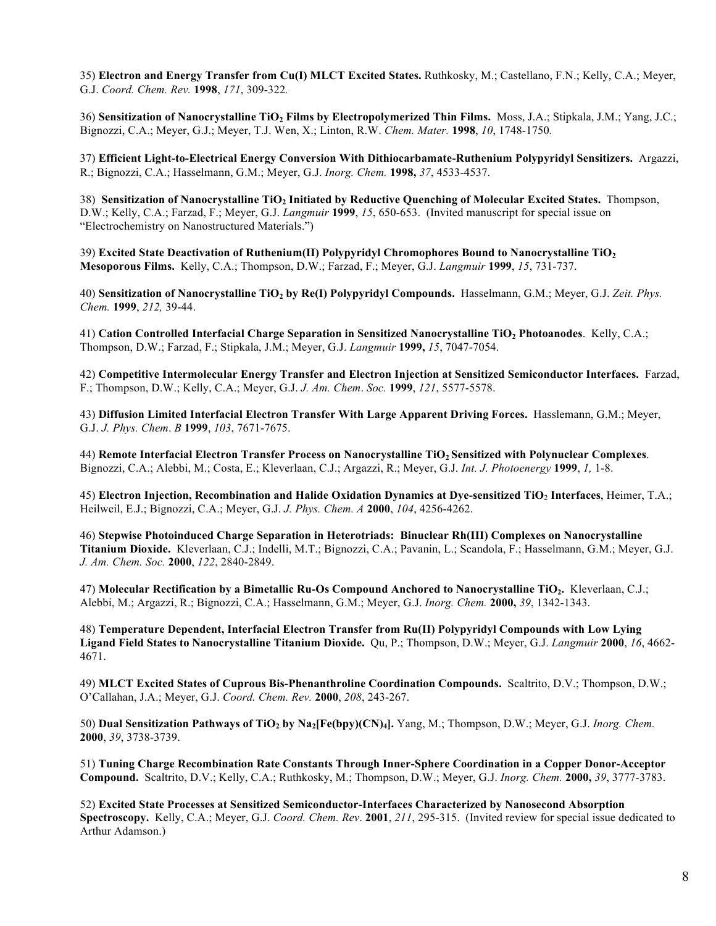35) **Electron and Energy Transfer from Cu(I) MLCT Excited States.** Ruthkosky, M.; Castellano, F.N.; Kelly, C.A.; Meyer, G.J. *Coord. Chem. Rev.* **1998**, *171*, 309-322*.*

36) **Sensitization of Nanocrystalline TiO2 Films by Electropolymerized Thin Films.** Moss, J.A.; Stipkala, J.M.; Yang, J.C.; Bignozzi, C.A.; Meyer, G.J.; Meyer, T.J. Wen, X.; Linton, R.W. *Chem. Mater.* **1998**, *10*, 1748-1750*.*

37) **Efficient Light-to-Electrical Energy Conversion With Dithiocarbamate-Ruthenium Polypyridyl Sensitizers.** Argazzi, R.; Bignozzi, C.A.; Hasselmann, G.M.; Meyer, G.J. *Inorg. Chem.* **1998,** *37*, 4533-4537.

38) **Sensitization of Nanocrystalline TiO2 Initiated by Reductive Quenching of Molecular Excited States.** Thompson, D.W.; Kelly, C.A.; Farzad, F.; Meyer, G.J. *Langmuir* **1999**, *15*, 650-653. (Invited manuscript for special issue on "Electrochemistry on Nanostructured Materials.")

39) **Excited State Deactivation of Ruthenium(II) Polypyridyl Chromophores Bound to Nanocrystalline TiO2 Mesoporous Films.** Kelly, C.A.; Thompson, D.W.; Farzad, F.; Meyer, G.J. *Langmuir* **1999**, *15*, 731-737.

40) **Sensitization of Nanocrystalline TiO<sub>2</sub> by Re(I) Polypyridyl Compounds.** Hasselmann, G.M.; Meyer, G.J. Zeit. Phys. *Chem.* **1999**, *212,* 39-44.

41) **Cation Controlled Interfacial Charge Separation in Sensitized Nanocrystalline TiO2 Photoanodes**. Kelly, C.A.; Thompson, D.W.; Farzad, F.; Stipkala, J.M.; Meyer, G.J. *Langmuir* **1999,** *15*, 7047-7054.

42) **Competitive Intermolecular Energy Transfer and Electron Injection at Sensitized Semiconductor Interfaces.** Farzad, F.; Thompson, D.W.; Kelly, C.A.; Meyer, G.J. *J. Am. Chem*. *Soc.* **1999**, *121*, 5577-5578.

43) **Diffusion Limited Interfacial Electron Transfer With Large Apparent Driving Forces.** Hasslemann, G.M.; Meyer, G.J. *J. Phys. Chem*. *B* **1999**, *103*, 7671-7675.

44) **Remote Interfacial Electron Transfer Process on Nanocrystalline TiO2 Sensitized with Polynuclear Complexes**. Bignozzi, C.A.; Alebbi, M.; Costa, E.; Kleverlaan, C.J.; Argazzi, R.; Meyer, G.J. *Int. J. Photoenergy* **1999**, *1,* 1-8.

45) **Electron Injection, Recombination and Halide Oxidation Dynamics at Dye-sensitized TiO**<sup>2</sup> **Interfaces**, Heimer, T.A.; Heilweil, E.J.; Bignozzi, C.A.; Meyer, G.J. *J. Phys. Chem. A* **2000**, *104*, 4256-4262.

46) **Stepwise Photoinduced Charge Separation in Heterotriads: Binuclear Rh(III) Complexes on Nanocrystalline Titanium Dioxide.** Kleverlaan, C.J.; Indelli, M.T.; Bignozzi, C.A.; Pavanin, L.; Scandola, F.; Hasselmann, G.M.; Meyer, G.J. *J. Am. Chem. Soc.* **2000**, *122*, 2840-2849.

47) Molecular Rectification by a Bimetallic Ru-Os Compound Anchored to Nanocrystalline TiO<sub>2</sub>. Kleverlaan, C.J.; Alebbi, M.; Argazzi, R.; Bignozzi, C.A.; Hasselmann, G.M.; Meyer, G.J. *Inorg. Chem.* **2000,** *39*, 1342-1343.

48) **Temperature Dependent, Interfacial Electron Transfer from Ru(II) Polypyridyl Compounds with Low Lying Ligand Field States to Nanocrystalline Titanium Dioxide.** Qu, P.; Thompson, D.W.; Meyer, G.J. *Langmuir* **2000**, *16*, 4662- 4671.

49) **MLCT Excited States of Cuprous Bis-Phenanthroline Coordination Compounds.** Scaltrito, D.V.; Thompson, D.W.; O'Callahan, J.A.; Meyer, G.J. *Coord. Chem. Rev.* **2000**, *208*, 243-267.

50) **Dual Sensitization Pathways of TiO2 by Na2[Fe(bpy)(CN)4].** Yang, M.; Thompson, D.W.; Meyer, G.J. *Inorg. Chem.* **2000**, *39*, 3738-3739.

51) **Tuning Charge Recombination Rate Constants Through Inner-Sphere Coordination in a Copper Donor-Acceptor Compound.** Scaltrito, D.V.; Kelly, C.A.; Ruthkosky, M.; Thompson, D.W.; Meyer, G.J. *Inorg. Chem.* **2000,** *39*, 3777-3783.

52) **Excited State Processes at Sensitized Semiconductor-Interfaces Characterized by Nanosecond Absorption Spectroscopy.** Kelly, C.A.; Meyer, G.J. *Coord. Chem. Rev*. **2001**, *211*, 295-315. (Invited review for special issue dedicated to Arthur Adamson.)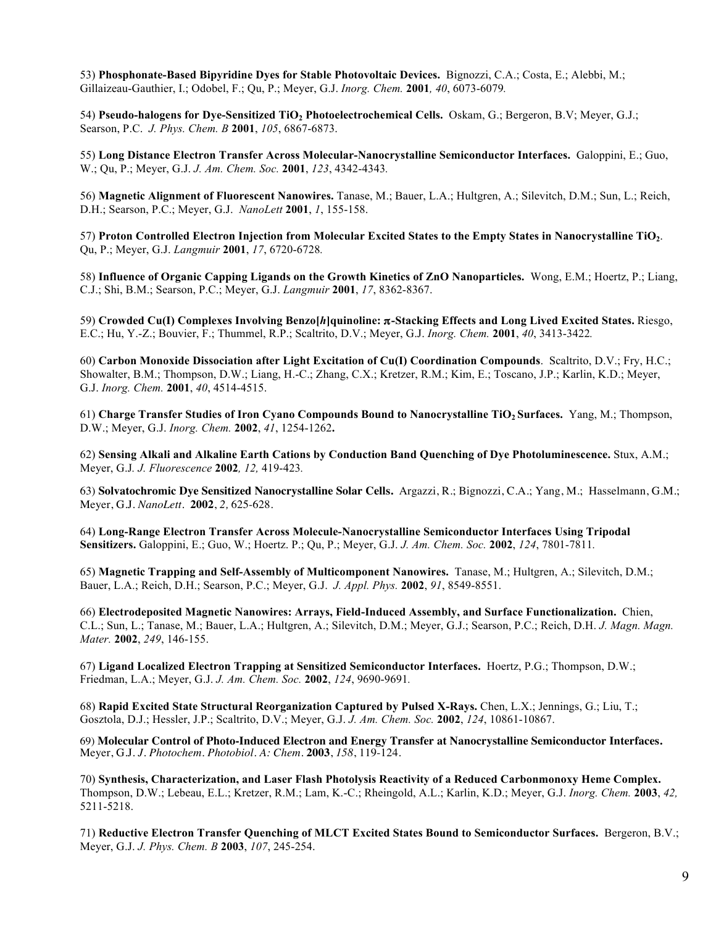53) **Phosphonate-Based Bipyridine Dyes for Stable Photovoltaic Devices.** Bignozzi, C.A.; Costa, E.; Alebbi, M.; Gillaizeau-Gauthier, I.; Odobel, F.; Qu, P.; Meyer, G.J. *Inorg. Chem.* **2001***, 40*, 6073-6079*.*

54) **Pseudo-halogens for Dye-Sensitized TiO2 Photoelectrochemical Cells.** Oskam, G.; Bergeron, B.V; Meyer, G.J.; Searson, P.C. *J. Phys. Chem. B* **2001**, *105*, 6867-6873.

55) **Long Distance Electron Transfer Across Molecular-Nanocrystalline Semiconductor Interfaces.** Galoppini, E.; Guo, W.; Qu, P.; Meyer, G.J. *J. Am. Chem. Soc.* **2001**, *123*, 4342-4343*.*

56) **Magnetic Alignment of Fluorescent Nanowires.** Tanase, M.; Bauer, L.A.; Hultgren, A.; Silevitch, D.M.; Sun, L.; Reich, D.H.; Searson, P.C.; Meyer, G.J. *NanoLett* **2001**, *1*, 155-158.

57) **Proton Controlled Electron Injection from Molecular Excited States to the Empty States in Nanocrystalline TiO2**. Qu, P.; Meyer, G.J. *Langmuir* **2001**, *17*, 6720-6728*.*

58) **Influence of Organic Capping Ligands on the Growth Kinetics of ZnO Nanoparticles.** Wong, E.M.; Hoertz, P.; Liang, C.J.; Shi, B.M.; Searson, P.C.; Meyer, G.J. *Langmuir* **2001**, *17*, 8362-8367.

59) **Crowded Cu(I) Complexes Involving Benzo[***h***]quinoline:** π**-Stacking Effects and Long Lived Excited States.** Riesgo, E.C.; Hu, Y.-Z.; Bouvier, F.; Thummel, R.P.; Scaltrito, D.V.; Meyer, G.J. *Inorg. Chem.* **2001**, *40*, 3413-3422*.*

60) **Carbon Monoxide Dissociation after Light Excitation of Cu(I) Coordination Compounds**. Scaltrito, D.V.; Fry, H.C.; Showalter, B.M.; Thompson, D.W.; Liang, H.-C.; Zhang, C.X.; Kretzer, R.M.; Kim, E.; Toscano, J.P.; Karlin, K.D.; Meyer, G.J. *Inorg. Chem.* **2001**, *40*, 4514-4515.

61) **Charge Transfer Studies of Iron Cyano Compounds Bound to Nanocrystalline TiO2 Surfaces.** Yang, M.; Thompson, D.W.; Meyer, G.J. *Inorg. Chem.* **2002**, *41*, 1254-1262**.**

62) **Sensing Alkali and Alkaline Earth Cations by Conduction Band Quenching of Dye Photoluminescence.** Stux, A.M.; Meyer, G.J*. J. Fluorescence* **2002***, 12,* 419-423*.*

63) **Solvatochromic Dye Sensitized Nanocrystalline Solar Cells.**Argazzi, R.; Bignozzi, C.A.; Yang, M.; Hasselmann, G.M.; Meyer, G.J. *NanoLett.* **2002**, *2,* 625-628.

64) **Long-Range Electron Transfer Across Molecule-Nanocrystalline Semiconductor Interfaces Using Tripodal Sensitizers.** Galoppini, E.; Guo, W.; Hoertz. P.; Qu, P.; Meyer, G.J. *J. Am. Chem. Soc.* **2002**, *124*, 7801-7811*.*

65) **Magnetic Trapping and Self-Assembly of Multicomponent Nanowires.** Tanase, M.; Hultgren, A.; Silevitch, D.M.; Bauer, L.A.; Reich, D.H.; Searson, P.C.; Meyer, G.J. *J. Appl. Phys.* **2002**, *91*, 8549-8551.

66) **Electrodeposited Magnetic Nanowires: Arrays, Field-Induced Assembly, and Surface Functionalization.** Chien, C.L.; Sun, L.; Tanase, M.; Bauer, L.A.; Hultgren, A.; Silevitch, D.M.; Meyer, G.J.; Searson, P.C.; Reich, D.H. *J. Magn. Magn. Mater.* **2002**, *249*, 146-155.

67) **Ligand Localized Electron Trapping at Sensitized Semiconductor Interfaces.** Hoertz, P.G.; Thompson, D.W.; Friedman, L.A.; Meyer, G.J. *J. Am. Chem. Soc.* **2002**, *124*, 9690-9691*.*

68) **Rapid Excited State Structural Reorganization Captured by Pulsed X-Rays.** Chen, L.X.; Jennings, G.; Liu, T.; Gosztola, D.J.; Hessler, J.P.; Scaltrito, D.V.; Meyer, G.J. *J. Am. Chem. Soc.* **2002**, *124*, 10861-10867.

69) **Molecular Control of Photo-Induced Electron and Energy Transfer at Nanocrystalline Semiconductor Interfaces.**  Meyer, G.J. *J. Photochem. Photobiol. A: Chem.* **2003**, *158*, 119-124.

70) **Synthesis, Characterization, and Laser Flash Photolysis Reactivity of a Reduced Carbonmonoxy Heme Complex.**  Thompson, D.W.; Lebeau, E.L.; Kretzer, R.M.; Lam, K.-C.; Rheingold, A.L.; Karlin, K.D.; Meyer, G.J. *Inorg. Chem.* **2003**, *42,*  5211-5218.

71) **Reductive Electron Transfer Quenching of MLCT Excited States Bound to Semiconductor Surfaces.** Bergeron, B.V.; Meyer, G.J. *J. Phys. Chem. B* **2003**, *107*, 245-254.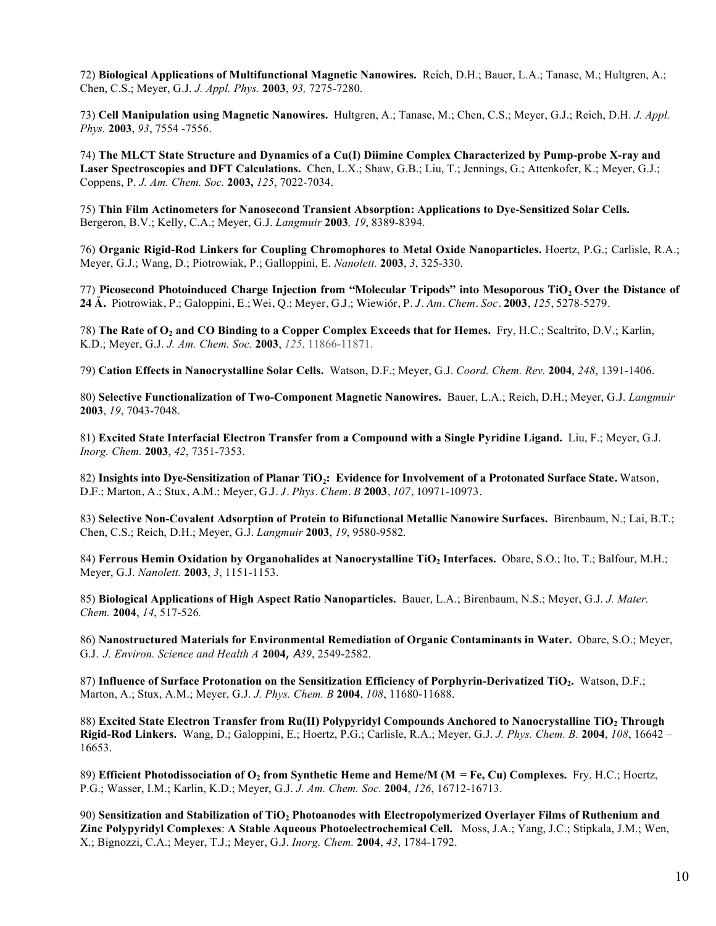72) **Biological Applications of Multifunctional Magnetic Nanowires.** Reich, D.H.; Bauer, L.A.; Tanase, M.; Hultgren, A.; Chen, C.S.; Meyer, G.J. *J. Appl. Phys.* **2003**, *93,* 7275-7280.

73) **Cell Manipulation using Magnetic Nanowires.** Hultgren, A.; Tanase, M.; Chen, C.S.; Meyer, G.J.; Reich, D.H. *J. Appl. Phys.* **2003**, *93*, 7554 -7556.

74) **The MLCT State Structure and Dynamics of a Cu(I) Diimine Complex Characterized by Pump-probe X-ray and Laser Spectroscopies and DFT Calculations.** Chen, L.X.; Shaw, G.B.; Liu, T.; Jennings, G.; Attenkofer, K.; Meyer, G.J.; Coppens, P. *J. Am. Chem. Soc.* **2003,** *125*, 7022-7034.

75) **Thin Film Actinometers for Nanosecond Transient Absorption: Applications to Dye-Sensitized Solar Cells.** Bergeron, B.V.; Kelly, C.A.; Meyer, G.J. *Langmuir* **2003***, 19*, 8389-8394.

76) **Organic Rigid-Rod Linkers for Coupling Chromophores to Metal Oxide Nanoparticles.** Hoertz, P.G.; Carlisle, R.A.; Meyer, G.J.; Wang, D.; Piotrowiak, P.; Galloppini, E. *Nanolett.* **2003**, *3*, 325-330.

77) Picosecond Photoinduced Charge Injection from "Molecular Tripods" into Mesoporous TiO<sub>2</sub> Over the Distance of **24 Å.** Piotrowiak, P.; Galoppini, E.;Wei, Q.; Meyer, G.J.; Wiewiór, P. *J. Am. Chem. Soc.* **2003**, *125*, 5278-5279.

78) **The Rate of O2 and CO Binding to a Copper Complex Exceeds that for Hemes.** Fry, H.C.; Scaltrito, D.V.; Karlin, K.D.; Meyer, G.J. *J. Am. Chem. Soc.* **2003**, *125*, 11866-11871.

79) **Cation Effects in Nanocrystalline Solar Cells.** Watson, D.F.; Meyer, G.J. *Coord. Chem. Rev.* **2004**, *248*, 1391-1406.

80) **Selective Functionalization of Two-Component Magnetic Nanowires.** Bauer, L.A.; Reich, D.H.; Meyer, G.J. *Langmuir*  **2003**, *19*, 7043-7048.

81) **Excited State Interfacial Electron Transfer from a Compound with a Single Pyridine Ligand.** Liu, F.; Meyer, G.J. *Inorg. Chem.* **2003**, *42*, 7351-7353.

82) Insights into Dye-Sensitization of Planar TiO<sub>2</sub>: Evidence for Involvement of a Protonated Surface State. Watson, D.F.; Marton, A.; Stux, A.M.; Meyer, G.J. *J. Phys. Chem. B* **2003**, *107*, 10971-10973.

83) **Selective Non-Covalent Adsorption of Protein to Bifunctional Metallic Nanowire Surfaces.** Birenbaum, N.; Lai, B.T.; Chen, C.S.; Reich, D.H.; Meyer, G.J. *Langmuir* **2003**, *19*, 9580-9582*.*

84) Ferrous Hemin Oxidation by Organohalides at Nanocrystalline TiO<sub>2</sub> Interfaces. Obare, S.O.; Ito, T.; Balfour, M.H.; Meyer, G.J. *Nanolett.* **2003**, *3*, 1151-1153.

85) **Biological Applications of High Aspect Ratio Nanoparticles.** Bauer, L.A.; Birenbaum, N.S.; Meyer, G.J. *J. Mater. Chem.* **2004**, *14*, 517-526*.*

86) **Nanostructured Materials for Environmental Remediation of Organic Contaminants in Water.** Obare, S.O.; Meyer, G.J. *J. Environ. Science and Health A* **2004**, A*39*, 2549-2582.

87) **Influence of Surface Protonation on the Sensitization Efficiency of Porphyrin-Derivatized TiO2.** Watson, D.F.; Marton, A.; Stux, A.M.; Meyer, G.J. *J. Phys. Chem. B* **2004**, *108*, 11680-11688.

88) **Excited State Electron Transfer from Ru(II) Polypyridyl Compounds Anchored to Nanocrystalline TiO2 Through Rigid-Rod Linkers.** Wang, D.; Galoppini, E.; Hoertz, P.G.; Carlisle, R.A.; Meyer, G.J. *J. Phys. Chem. B.* **2004**, *108*, 16642 – 16653.

89) **Efficient Photodissociation of O2 from Synthetic Heme and Heme/M (M = Fe, Cu) Complexes.** Fry, H.C.; Hoertz, P.G.; Wasser, I.M.; Karlin, K.D.; Meyer, G.J. *J. Am. Chem. Soc.* **2004**, *126*, 16712-16713.

90) **Sensitization and Stabilization of TiO2 Photoanodes with Electropolymerized Overlayer Films of Ruthenium and Zinc Polypyridyl Complexes**: **A Stable Aqueous Photoelectrochemical Cell.** Moss, J.A.; Yang, J.C.; Stipkala, J.M.; Wen, X.; Bignozzi, C.A.; Meyer, T.J.; Meyer, G.J. *Inorg. Chem.* **2004**, *43*, 1784-1792.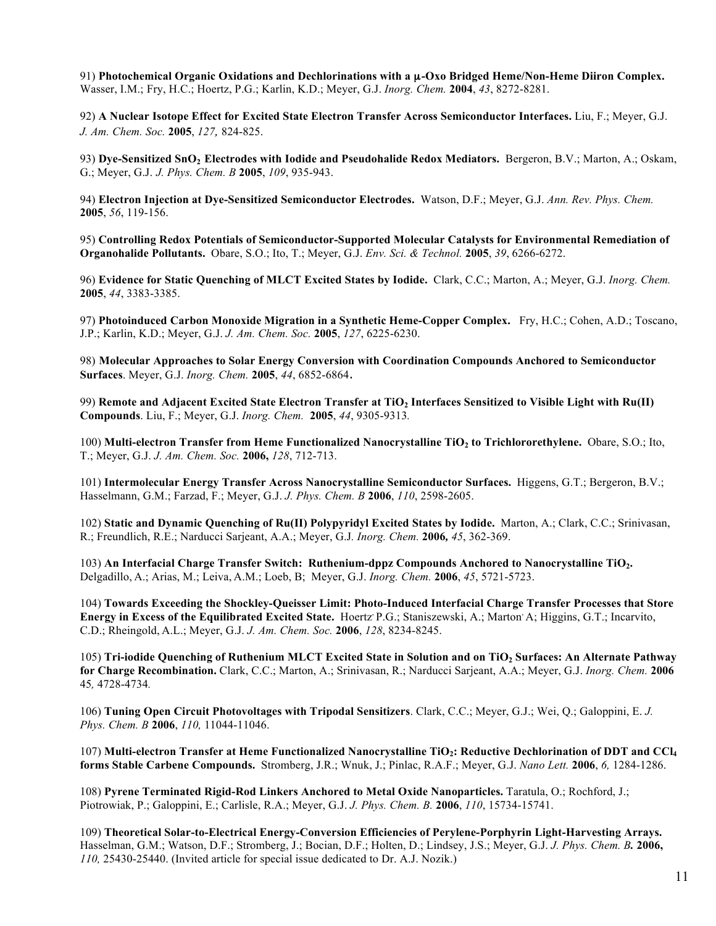91) Photochemical Organic Oxidations and Dechlorinations with a  $\mu$ -Oxo Bridged Heme/Non-Heme Diiron Complex. Wasser, I.M.; Fry, H.C.; Hoertz, P.G.; Karlin, K.D.; Meyer, G.J. *Inorg. Chem.* **2004**, *43*, 8272-8281.

92) **A Nuclear Isotope Effect for Excited State Electron Transfer Across Semiconductor Interfaces.** Liu, F.; Meyer, G.J. *J. Am. Chem. Soc.* **2005**, *127,* 824-825.

93) **Dye-Sensitized SnO2 Electrodes with Iodide and Pseudohalide Redox Mediators.** Bergeron, B.V.; Marton, A.; Oskam, G.; Meyer, G.J. *J. Phys. Chem. B* **2005**, *109*, 935-943.

94) **Electron Injection at Dye-Sensitized Semiconductor Electrodes.** Watson, D.F.; Meyer, G.J. *Ann. Rev. Phys. Chem.*  **2005**, *56*, 119-156.

95) **Controlling Redox Potentials of Semiconductor-Supported Molecular Catalysts for Environmental Remediation of Organohalide Pollutants.** Obare, S.O.; Ito, T.; Meyer, G.J. *Env. Sci. & Technol.* **2005**, *39*, 6266-6272.

96) **Evidence for Static Quenching of MLCT Excited States by Iodide.** Clark, C.C.; Marton, A.; Meyer, G.J. *Inorg. Chem.*  **2005**, *44*, 3383-3385.

97) **Photoinduced Carbon Monoxide Migration in a Synthetic Heme-Copper Complex.** Fry, H.C.; Cohen, A.D.; Toscano, J.P.; Karlin, K.D.; Meyer, G.J. *J. Am. Chem. Soc.* **2005**, *127*, 6225-6230.

98) **Molecular Approaches to Solar Energy Conversion with Coordination Compounds Anchored to Semiconductor Surfaces**. Meyer, G.J. *Inorg. Chem.* **2005**, *44*, 6852-6864.

99) **Remote and Adjacent Excited State Electron Transfer at TiO2 Interfaces Sensitized to Visible Light with Ru(II) Compounds**. Liu, F.; Meyer, G.J. *Inorg. Chem.* **2005**, *44*, 9305-9313*.*

100) **Multi-electron Transfer from Heme Functionalized Nanocrystalline TiO2 to Trichlororethylene.** Obare, S.O.; Ito, T.; Meyer, G.J. *J. Am. Chem. Soc.* **2006,** *128*, 712-713.

101) **Intermolecular Energy Transfer Across Nanocrystalline Semiconductor Surfaces.** Higgens, G.T.; Bergeron, B.V.; Hasselmann, G.M.; Farzad, F.; Meyer, G.J. *J. Phys. Chem. B* **2006**, *110*, 2598-2605.

102) **Static and Dynamic Quenching of Ru(II) Polypyridyl Excited States by Iodide.** Marton, A.; Clark, C.C.; Srinivasan, R.; Freundlich, R.E.; Narducci Sarjeant, A.A.; Meyer, G.J*. Inorg. Chem.* **2006***, 45*, 362-369.

103) **An Interfacial Charge Transfer Switch: Ruthenium-dppz Compounds Anchored to Nanocrystalline TiO2.**  Delgadillo, A.; Arias, M.; Leiva, A.M.; Loeb, B; Meyer, G.J. *Inorg. Chem.* **2006**, *45*, 5721-5723.

104) **Towards Exceeding the Shockley-Queisser Limit: Photo-Induced Interfacial Charge Transfer Processes that Store Energy in Excess of the Equilibrated Excited State.** Hoertz, P.G.; Staniszewski, A.; Marton, A; Higgins, G.T.; Incarvito, C.D.; Rheingold, A.L.; Meyer, G.J. *J. Am. Chem. Soc.* **2006**, *128*, 8234-8245.

105) **Tri-iodide Quenching of Ruthenium MLCT Excited State in Solution and on TiO2 Surfaces: An Alternate Pathway for Charge Recombination.** Clark, C.C.; Marton, A.; Srinivasan, R.; Narducci Sarjeant, A.A.; Meyer, G.J. *Inorg. Chem.* **2006** 45*,* 4728-4734*.* 

106) **Tuning Open Circuit Photovoltages with Tripodal Sensitizers**. Clark, C.C.; Meyer, G.J.; Wei, Q.; Galoppini, E. *J. Phys. Chem. B* **2006**, *110,* 11044-11046.

107) Multi-electron Transfer at Heme Functionalized Nanocrystalline TiO<sub>2</sub>: Reductive Dechlorination of DDT and CCl<sub>4</sub> **forms Stable Carbene Compounds.** Stromberg, J.R.; Wnuk, J.; Pinlac, R.A.F.; Meyer, G.J. *Nano Lett.* **2006**, *6,* 1284-1286.

108) **Pyrene Terminated Rigid-Rod Linkers Anchored to Metal Oxide Nanoparticles.** Taratula, O.; Rochford, J.; Piotrowiak, P.; Galoppini, E.; Carlisle, R.A.; Meyer, G.J. *J. Phys. Chem. B.* **2006**, *110*, 15734-15741.

109) **Theoretical Solar-to-Electrical Energy-Conversion Efficiencies of Perylene-Porphyrin Light-Harvesting Arrays.**  Hasselman, G.M.; Watson, D.F.; Stromberg, J.; Bocian, D.F.; Holten, D.; Lindsey, J.S.; Meyer, G.J. *J. Phys. Chem. B.* **2006,**  *110,* 25430-25440. (Invited article for special issue dedicated to Dr. A.J. Nozik.)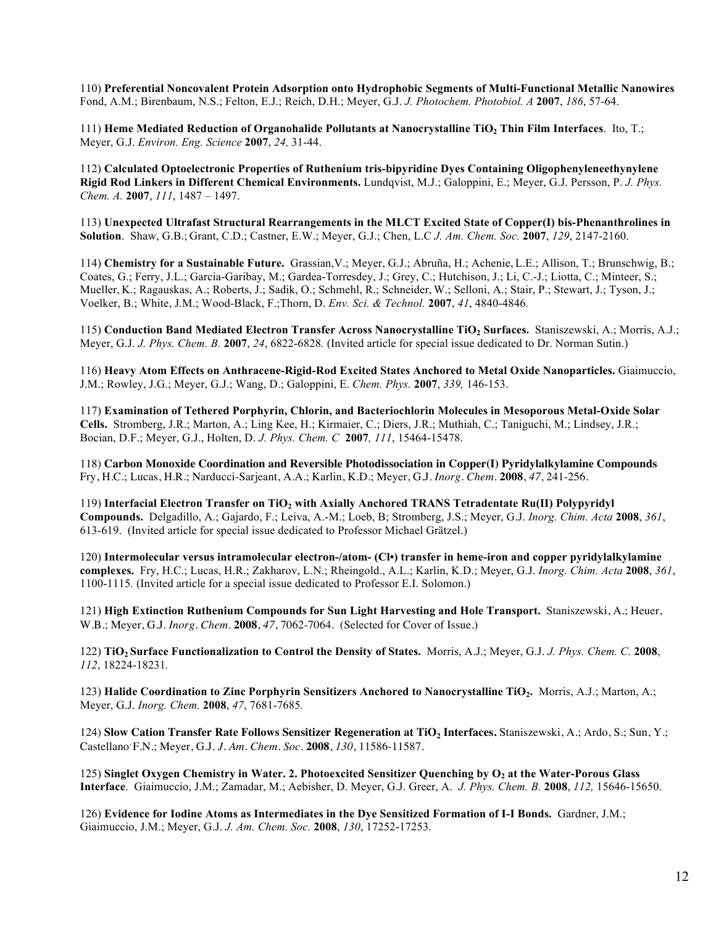110) **Preferential Noncovalent Protein Adsorption onto Hydrophobic Segments of Multi-Functional Metallic Nanowires**  Fond, A.M.; Birenbaum, N.S.; Felton, E.J.; Reich, D.H.; Meyer, G.J. *J. Photochem. Photobiol. A* **2007**, *186*, 57-64.

111) **Heme Mediated Reduction of Organohalide Pollutants at Nanocrystalline TiO2 Thin Film Interfaces**. Ito, T.; Meyer, G.J. *Environ. Eng. Science* **2007**, *24,* 31-44.

112) **Calculated Optoelectronic Properties of Ruthenium tris-bipyridine Dyes Containing Oligophenyleneethynylene Rigid Rod Linkers in Different Chemical Environments.** Lundqvist, M.J.; Galoppini, E.; Meyer, G.J. Persson, P. *J. Phys. Chem. A.* **2007**, *111*, 1487 – 1497.

113) **Unexpected Ultrafast Structural Rearrangements in the MLCT Excited State of Copper(I) bis-Phenanthrolines in Solution**. Shaw, G.B.; Grant, C.D.; Castner, E.W.; Meyer, G.J.; Chen, L.C *J. Am. Chem. Soc.* **2007**, *129*, 2147-2160.

114) **Chemistry for a Sustainable Future.** Grassian,V.; Meyer, G.J.; Abruña, H.; Achenie, L.E.; Allison, T.; Brunschwig, B.; Coates, G.; Ferry, J.L.; Garcia-Garibay, M.; Gardea-Torresdey, J.; Grey, C.; Hutchison, J.; Li, C.-J.; Liotta, C.; Minteer, S.; Mueller, K.; Ragauskas, A.; Roberts, J.; Sadik, O.; Schmehl, R.; Schneider, W.; Selloni, A.; Stair, P.; Stewart, J.; Tyson, J.; Voelker, B.; White, J.M.; Wood-Black, F.;Thorn, D. *Env. Sci. & Technol.* **2007**, *41*, 4840-4846*.*

115) **Conduction Band Mediated Electron Transfer Across Nanocrystalline TiO2 Surfaces.** Staniszewski, A.; Morris, A.J.; Meyer, G.J. *J. Phys. Chem. B.* **2007**, *24*, 6822-6828*.* (Invited article for special issue dedicated to Dr. Norman Sutin.)

116) **Heavy Atom Effects on Anthracene-Rigid-Rod Excited States Anchored to Metal Oxide Nanoparticles.** Giaimuccio, J.M.; Rowley, J.G.; Meyer, G.J.; Wang, D.; Galoppini, E. *Chem. Phys.* **2007**, *339,* 146-153.

117) **Examination of Tethered Porphyrin, Chlorin, and Bacteriochlorin Molecules in Mesoporous Metal-Oxide Solar Cells.** Stromberg, J.R.; Marton, A.; Ling Kee, H.; Kirmaier, C.; Diers, J.R.; Muthiah, C.; Taniguchi, M.; Lindsey, J.R.; Bocian, D.F.; Meyer, G.J., Holten, D. *J. Phys. Chem. C* **2007***, 111*, 15464-15478.

118) **Carbon Monoxide Coordination and Reversible Photodissociation in Copper(I) Pyridylalkylamine Compounds**  Fry, H.C.; Lucas, H.R.; Narducci-Sarjeant, A.A.; Karlin, K.D.; Meyer, G.J. *Inorg. Chem.* **2008**, *47*, 241-256*.* 

119) **Interfacial Electron Transfer on TiO2 with Axially Anchored TRANS Tetradentate Ru(II) Polypyridyl Compounds.** Delgadillo, A.; Gajardo, F.; Leiva, A.-M.; Loeb, B; Stromberg, J.S.; Meyer, G.J. *Inorg. Chim. Acta* **2008**, *361*, 613-619.(Invited article for special issue dedicated to Professor Michael Grätzel.)

120) **Intermolecular versus intramolecular electron-/atom- (Cl•) transfer in heme-iron and copper pyridylalkylamine complexes.** Fry, H.C.; Lucas, H.R.; Zakharov, L.N.; Rheingold., A.L.; Karlin, K.D.; Meyer, G.J. *Inorg. Chim. Acta* **2008**, *361*, 1100-1115*.* (Invited article for a special issue dedicated to Professor E.I. Solomon.)

121) **High Extinction Ruthenium Compounds for Sun Light Harvesting and Hole Transport.** Staniszewski, A.; Heuer, W.B.; Meyer, G.J. *Inorg. Chem.* **2008**, *47*, 7062-7064. (Selected for Cover of Issue.)

122) **TiO2 Surface Functionalization to Control the Density of States.** Morris, A.J.; Meyer, G.J. *J. Phys. Chem. C.* **2008**, *112*, 18224-18231*.*

123) **Halide Coordination to Zinc Porphyrin Sensitizers Anchored to Nanocrystalline TiO2.** Morris, A.J.; Marton, A.; Meyer, G.J. *Inorg. Chem.* **2008**, *47*, 7681-7685*.*

124) **Slow Cation Transfer Rate Follows Sensitizer Regeneration at TiO2 Interfaces.** Staniszewski, A.; Ardo, S.; Sun, Y.; Castellano, F.N.; Meyer, G.J. *J. Am. Chem. Soc.* **2008**, *130*, 11586-11587*.*

125) Singlet Oxygen Chemistry in Water. 2. Photoexcited Sensitizer Ouenching by O<sub>2</sub> at the Water-Porous Glass **Interface**. Giaimuccio, J.M.; Zamadar, M.; Aebisher, D. Meyer, G.J. Greer, A. *J. Phys. Chem. B.* **2008**, *112,* 15646-15650.

126) **Evidence for Iodine Atoms as Intermediates in the Dye Sensitized Formation of I-I Bonds.** Gardner, J.M.; Giaimuccio, J.M.; Meyer, G.J. *J. Am. Chem. Soc.* **2008**, *130*, 17252-17253.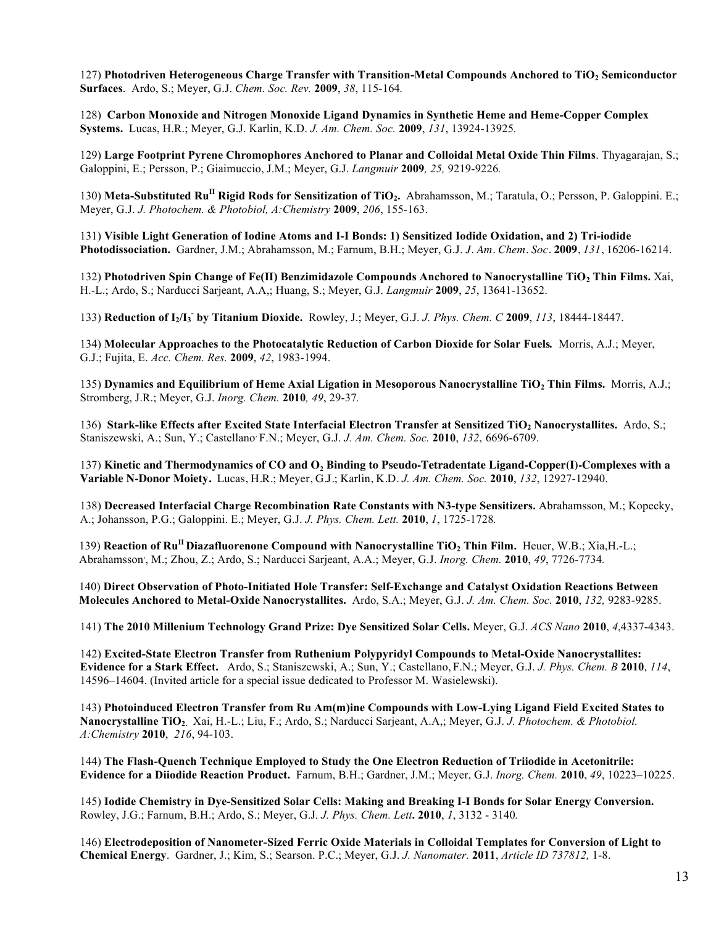127) Photodriven Heterogeneous Charge Transfer with Transition-Metal Compounds Anchored to TiO<sub>2</sub> Semiconductor **Surfaces**. Ardo, S.; Meyer, G.J. *Chem. Soc. Rev.* **2009**, *38*, 115-164*.* 

128) **Carbon Monoxide and Nitrogen Monoxide Ligand Dynamics in Synthetic Heme and Heme-Copper Complex Systems.** Lucas, H.R.; Meyer, G.J. Karlin, K.D. *J. Am. Chem. Soc.* **2009**, *131*, 13924-13925*.*

129) **Large Footprint Pyrene Chromophores Anchored to Planar and Colloidal Metal Oxide Thin Films**. Thyagarajan, S.; Galoppini, E.; Persson, P.; Giaimuccio, J.M.; Meyer, G.J. *Langmuir* **2009***, 25,* 9219-9226*.*

130) Meta-Substituted Ru<sup>II</sup> Rigid Rods for Sensitization of TiO<sub>2</sub>. Abrahamsson, M.; Taratula, O.; Persson, P. Galoppini. E.; Meyer, G.J. *J. Photochem. & Photobiol, A:Chemistry* **2009**, *206*, 155-163.

131) **Visible Light Generation of Iodine Atoms and I-I Bonds: 1) Sensitized Iodide Oxidation, and 2) Tri-iodide Photodissociation.** Gardner, J.M.; Abrahamsson, M.; Farnum, B.H.; Meyer, G.J. *J. Am. Chem. Soc.* **2009**, *131*, 16206-16214.

132) **Photodriven Spin Change of Fe(II) Benzimidazole Compounds Anchored to Nanocrystalline TiO2 Thin Films.** Xai, H.-L.; Ardo, S.; Narducci Sarjeant, A.A,; Huang, S.; Meyer, G.J. *Langmuir* **2009**, *25*, 13641-13652.

133) **Reduction of I2/I3 - by Titanium Dioxide.** Rowley, J.; Meyer, G.J. *J. Phys. Chem. C* **2009**, *113*, 18444-18447.

134) **Molecular Approaches to the Photocatalytic Reduction of Carbon Dioxide for Solar Fuels***.* Morris, A.J.; Meyer, G.J.; Fujita, E. *Acc. Chem. Res.* **2009**, *42*, 1983-1994.

135) Dynamics and Equilibrium of Heme Axial Ligation in Mesoporous Nanocrystalline TiO<sub>2</sub> Thin Films. Morris, A.J.; Stromberg, J.R.; Meyer, G.J. *Inorg. Chem.* **2010***, 49*, 29-37*.*

136) Stark-like Effects after Excited State Interfacial Electron Transfer at Sensitized TiO<sub>2</sub> Nanocrystallites. Ardo, S.; Staniszewski, A.; Sun, Y.; Castellano, F.N.; Meyer, G.J. *J. Am. Chem. Soc.* **2010**, *132*, 6696-6709.

137) **Kinetic and Thermodynamics of CO and O2 Binding to Pseudo-Tetradentate Ligand-Copper(I)-Complexes with a Variable N-Donor Moiety.** Lucas, H.R.; Meyer, G.J.; Karlin, K.D. *J. Am. Chem. Soc.* **2010**, *132*, 12927-12940.

138) **Decreased Interfacial Charge Recombination Rate Constants with N3-type Sensitizers.** Abrahamsson, M.; Kopecky, A.; Johansson, P.G.; Galoppini. E.; Meyer, G.J. *J. Phys. Chem. Lett.* **2010**, *1*, 1725-1728*.*

139) **Reaction of Ru<sup>II</sup> Diazafluorenone Compound with Nanocrystalline TiO<sub>2</sub> Thin Film. Heuer, W.B.; Xia,H.-L.;** Abrahamsson, , M.; Zhou, Z.; Ardo, S.; Narducci Sarjeant, A.A.; Meyer, G.J. *Inorg. Chem.* **2010**, *49*, 7726-7734*.*

140) **Direct Observation of Photo-Initiated Hole Transfer: Self-Exchange and Catalyst Oxidation Reactions Between Molecules Anchored to Metal-Oxide Nanocrystallites.** Ardo, S.A.; Meyer, G.J. *J. Am. Chem. Soc.* **2010**, *132,* 9283-9285.

141) **The 2010 Millenium Technology Grand Prize: Dye Sensitized Solar Cells.** Meyer, G.J. *ACS Nano* **2010**, *4*,4337-4343.

142) **Excited-State Electron Transfer from Ruthenium Polypyridyl Compounds to Metal-Oxide Nanocrystallites: Evidence for a Stark Effect.** Ardo, S.; Staniszewski, A.; Sun, Y.; Castellano, F.N.; Meyer, G.J. *J. Phys. Chem. B* **2010**, *114*, 14596–14604. (Invited article for a special issue dedicated to Professor M. Wasielewski).

143) **Photoinduced Electron Transfer from Ru Am(m)ine Compounds with Low-Lying Ligand Field Excited States to Nanocrystalline TiO2.** Xai, H.-L.; Liu, F.; Ardo, S.; Narducci Sarjeant, A.A,; Meyer, G.J. *J. Photochem. & Photobiol. A:Chemistry* **2010**, *216*, 94-103.

144) **The Flash-Quench Technique Employed to Study the One Electron Reduction of Triiodide in Acetonitrile: Evidence for a Diiodide Reaction Product.** Farnum, B.H.; Gardner, J.M.; Meyer, G.J. *Inorg. Chem.* **2010**, *49*, 10223–10225.

145) **Iodide Chemistry in Dye-Sensitized Solar Cells: Making and Breaking I-I Bonds for Solar Energy Conversion.** Rowley, J.G.; Farnum, B.H.; Ardo, S.; Meyer, G.J. *J. Phys. Chem. Lett***. 2010**, *1*, 3132 - 3140*.*

146) **Electrodeposition of Nanometer-Sized Ferric Oxide Materials in Colloidal Templates for Conversion of Light to Chemical Energy**. Gardner, J.; Kim, S.; Searson. P.C.; Meyer, G.J. *J. Nanomater.* **2011**, *Article ID 737812,* 1-8.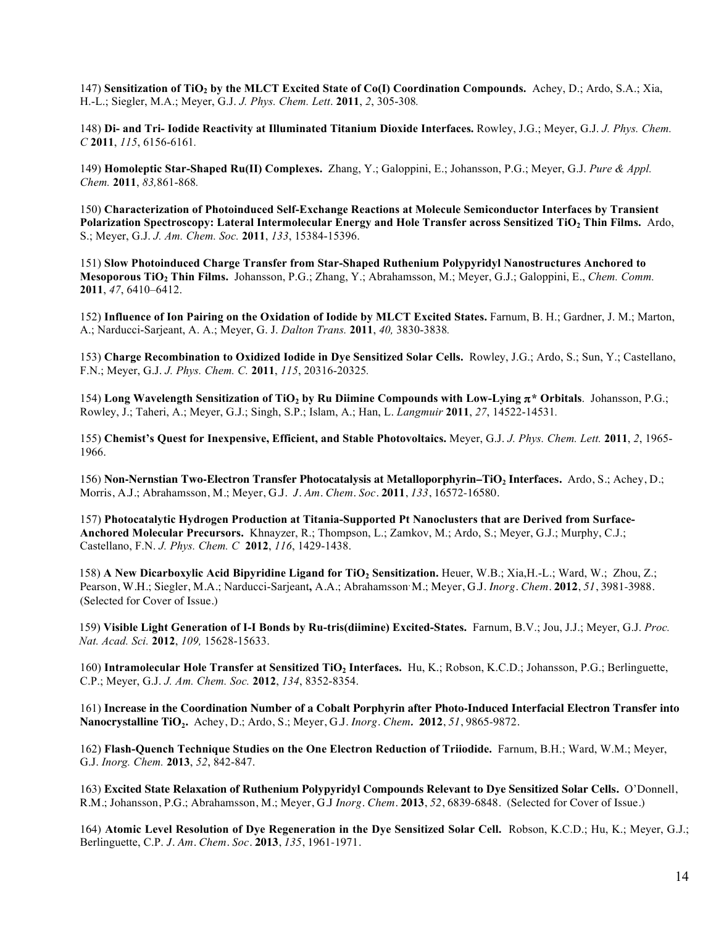147) **Sensitization of TiO2 by the MLCT Excited State of Co(I) Coordination Compounds.** Achey, D.; Ardo, S.A.; Xia, H.-L.; Siegler, M.A.; Meyer, G.J. *J. Phys. Chem. Lett*. **2011**, *2*, 305-308*.*

148) **Di- and Tri- Iodide Reactivity at Illuminated Titanium Dioxide Interfaces.** Rowley, J.G.; Meyer, G.J. *J. Phys. Chem. C* **2011**, *115*, 6156-6161*.*

149) **Homoleptic Star-Shaped Ru(II) Complexes.** Zhang, Y.; Galoppini, E.; Johansson, P.G.; Meyer, G.J. *Pure & Appl. Chem.* **2011**, *83,*861-868*.*

150) **Characterization of Photoinduced Self-Exchange Reactions at Molecule Semiconductor Interfaces by Transient Polarization Spectroscopy: Lateral Intermolecular Energy and Hole Transfer across Sensitized TiO2 Thin Films.** Ardo, S.; Meyer, G.J. *J. Am. Chem. Soc.* **2011**, *133*, 15384-15396.

151) **Slow Photoinduced Charge Transfer from Star-Shaped Ruthenium Polypyridyl Nanostructures Anchored to Mesoporous TiO2 Thin Films.** Johansson, P.G.; Zhang, Y.; Abrahamsson, M.; Meyer, G.J.; Galoppini, E., *Chem. Comm.*  **2011**, *47*, 6410–6412.

152) **Influence of Ion Pairing on the Oxidation of Iodide by MLCT Excited States.** Farnum, B. H.; Gardner, J. M.; Marton, A.; Narducci-Sarjeant, A. A.; Meyer, G. J. *Dalton Trans.* **2011**, *40,* 3830-3838*.*

153) **Charge Recombination to Oxidized Iodide in Dye Sensitized Solar Cells.** Rowley, J.G.; Ardo, S.; Sun, Y.; Castellano, F.N.; Meyer, G.J. *J. Phys. Chem. C.* **2011**, *115*, 20316-20325*.*

154) **Long Wavelength Sensitization of TiO2 by Ru Diimine Compounds with Low-Lying** π**\* Orbitals**. Johansson, P.G.; Rowley, J.; Taheri, A.; Meyer, G.J.; Singh, S.P.; Islam, A.; Han, L. *Langmuir* **2011**, *27*, 14522-14531*.*

155) **Chemist's Quest for Inexpensive, Efficient, and Stable Photovoltaics.** Meyer, G.J. *J. Phys. Chem. Lett.* **2011**, *2*, 1965- 1966.

156) **Non-Nernstian Two-Electron Transfer Photocatalysis at Metalloporphyrin–TiO<sub>2</sub> Interfaces.** Ardo, S.; Achey, D.; Morris, A.J.; Abrahamsson, M.; Meyer, G.J. *J. Am. Chem. Soc.* **2011**, *133*, 16572-16580.

157) **Photocatalytic Hydrogen Production at Titania-Supported Pt Nanoclusters that are Derived from Surface-Anchored Molecular Precursors.** Khnayzer, R.; Thompson, L.; Zamkov, M.; Ardo, S.; Meyer, G.J.; Murphy, C.J.; Castellano, F.N. *J. Phys. Chem. C* **2012**, *116*, 1429-1438.

158) **A New Dicarboxylic Acid Bipyridine Ligand for TiO2 Sensitization.** Heuer, W.B.; Xia,H.-L.; Ward, W.; Zhou, Z.; Pearson, W.H.; Siegler, M.A.; Narducci-Sarjeant**,** A.A.; Abrahamsson, M.; Meyer, G.J. *Inorg. Chem.* **2012**, *51*, 3981-3988*.* (Selected for Cover of Issue.)

159) **Visible Light Generation of I-I Bonds by Ru-tris(diimine) Excited-States.** Farnum, B.V.; Jou, J.J.; Meyer, G.J. *Proc. Nat. Acad. Sci.* **2012**, *109,* 15628-15633.

160) **Intramolecular Hole Transfer at Sensitized TiO2 Interfaces.** Hu, K.; Robson, K.C.D.; Johansson, P.G.; Berlinguette, C.P.; Meyer, G.J. *J. Am. Chem. Soc.* **2012**, *134*, 8352-8354.

161) **Increase in the Coordination Number of a Cobalt Porphyrin after Photo-Induced Interfacial Electron Transfer into Nanocrystalline TiO2.** Achey, D.; Ardo, S.; Meyer, G.J. *Inorg. Chem.* **2012**, *51*, 9865-9872*.*

162) **Flash-Quench Technique Studies on the One Electron Reduction of Triiodide.** Farnum, B.H.; Ward, W.M.; Meyer, G.J. *Inorg. Chem.* **2013**, *52*, 842-847.

163) **Excited State Relaxation of Ruthenium Polypyridyl Compounds Relevant to Dye Sensitized Solar Cells.** O'Donnell, R.M.; Johansson, P.G.; Abrahamsson, M.; Meyer, G.J *Inorg. Chem.* **2013**, *52*, 6839-6848. (Selected for Cover of Issue.)

164) **Atomic Level Resolution of Dye Regeneration in the Dye Sensitized Solar Cell.** Robson, K.C.D.; Hu, K.; Meyer, G.J.; Berlinguette, C.P. *J. Am. Chem. Soc.* **2013**, *135*, 1961-1971.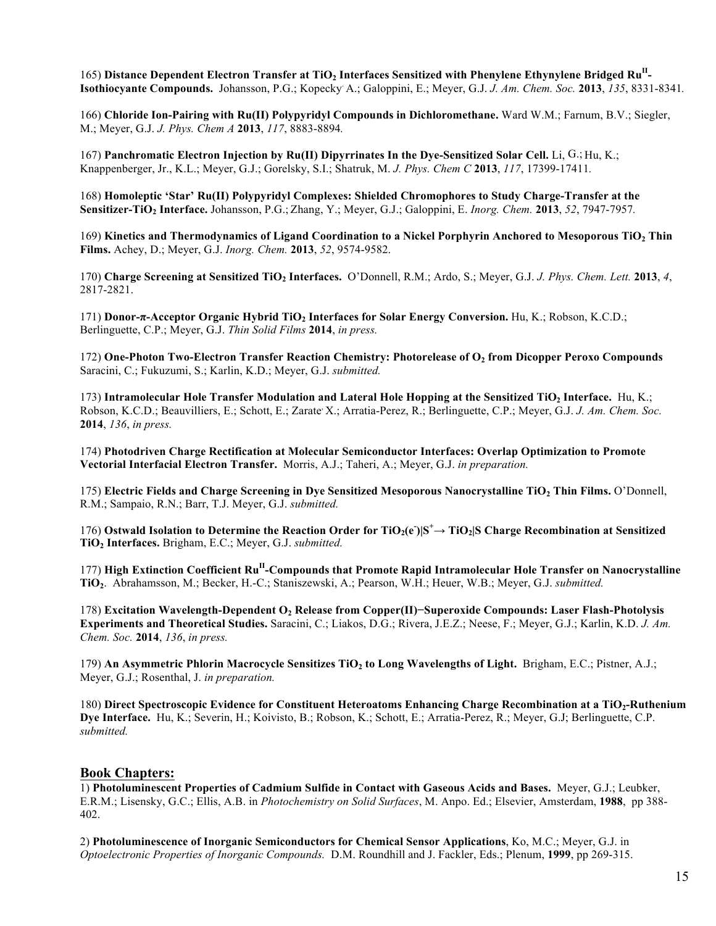165) Distance Dependent Electron Transfer at TiO<sub>2</sub> Interfaces Sensitized with Phenylene Ethynylene Bridged Ru<sup>ll</sup>-**Isothiocyante Compounds.** Johansson, P.G.; Kopecky. A.; Galoppini, E.; Meyer, G.J. *J. Am. Chem. Soc.* **2013**, *135*, 8331-8341*.*

166) **Chloride Ion-Pairing with Ru(II) Polypyridyl Compounds in Dichloromethane.** Ward W.M.; Farnum, B.V.; Siegler, M.; Meyer, G.J. *J. Phys. Chem A* **2013**, *117*, 8883-8894*.*

167) **Panchromatic Electron Injection by Ru(II) Dipyrrinates In the Dye-Sensitized Solar Cell.** Li, G.; Hu, K.; Knappenberger, Jr., K.L.; Meyer, G.J.; Gorelsky, S.I.; Shatruk, M. *J. Phys. Chem C* **2013**, *117*, 17399-17411*.*

168) **Homoleptic 'Star' Ru(II) Polypyridyl Complexes: Shielded Chromophores to Study Charge-Transfer at the Sensitizer-TiO2 Interface.** Johansson, P.G.; Zhang, Y.; Meyer, G.J.; Galoppini, E. *Inorg. Chem.* **2013**, *52*, 7947-7957*.*

169) **Kinetics and Thermodynamics of Ligand Coordination to a Nickel Porphyrin Anchored to Mesoporous TiO2 Thin Films.** Achey, D.; Meyer, G.J. *Inorg. Chem.* **2013**, *52*, 9574-9582.

170) **Charge Screening at Sensitized TiO2 Interfaces.** O'Donnell, R.M.; Ardo, S.; Meyer, G.J. *J. Phys. Chem. Lett.* **2013**, *4*, 2817-2821.

171) **Donor-π-Acceptor Organic Hybrid TiO2 Interfaces for Solar Energy Conversion.** Hu, K.; Robson, K.C.D.; Berlinguette, C.P.; Meyer, G.J. *Thin Solid Films* **2014**, *in press.*

172) **One-Photon Two-Electron Transfer Reaction Chemistry: Photorelease of O2 from Dicopper Peroxo Compounds** Saracini, C.; Fukuzumi, S.; Karlin, K.D.; Meyer, G.J. *submitted.*

173) **Intramolecular Hole Transfer Modulation and Lateral Hole Hopping at the Sensitized TiO2 Interface.** Hu, K.; Robson, K.C.D.; Beauvilliers, E.; Schott, E.; Zarate X.; Arratia-Perez, R.; Berlinguette, C.P.; Meyer, G.J. *J. Am. Chem. Soc.* **2014**, *136*, *in press.*

174) **Photodriven Charge Rectification at Molecular Semiconductor Interfaces: Overlap Optimization to Promote Vectorial Interfacial Electron Transfer.** Morris, A.J.; Taheri, A.; Meyer, G.J. *in preparation.*

175) **Electric Fields and Charge Screening in Dye Sensitized Mesoporous Nanocrystalline TiO2 Thin Films.** O'Donnell, R.M.; Sampaio, R.N.; Barr, T.J. Meyer, G.J. *submitted.*

176) Ostwald Isolation to Determine the Reaction Order for  $TiO_2(e^-)|S^+\to TiO_2|S$  Charge Recombination at Sensitized **TiO2 Interfaces.** Brigham, E.C.; Meyer, G.J. *submitted.*

177) **High Extinction Coefficient RuII-Compounds that Promote Rapid Intramolecular Hole Transfer on Nanocrystalline TiO2**. Abrahamsson, M.; Becker, H.-C.; Staniszewski, A.; Pearson, W.H.; Heuer, W.B.; Meyer, G.J. *submitted.*

178) **Excitation Wavelength-Dependent O2 Release from Copper(II)−Superoxide Compounds: Laser Flash-Photolysis Experiments and Theoretical Studies.** Saracini, C.; Liakos, D.G.; Rivera, J.E.Z.; Neese, F.; Meyer, G.J.; Karlin, K.D. *J. Am. Chem. Soc.* **2014**, *136*, *in press.*

179) **An Asymmetric Phlorin Macrocycle Sensitizes TiO2 to Long Wavelengths of Light.** Brigham, E.C.; Pistner, A.J.; Meyer, G.J.; Rosenthal, J. *in preparation.*

180) **Direct Spectroscopic Evidence for Constituent Heteroatoms Enhancing Charge Recombination at a TiO2-Ruthenium Dye Interface.** Hu, K.; Severin, H.; Koivisto, B.; Robson, K.; Schott, E.; Arratia-Perez, R.; Meyer, G.J; Berlinguette, C.P. *submitted.*

#### **Book Chapters:**

1) **Photoluminescent Properties of Cadmium Sulfide in Contact with Gaseous Acids and Bases.** Meyer, G.J.; Leubker, E.R.M.; Lisensky, G.C.; Ellis, A.B. in *Photochemistry on Solid Surfaces*, M. Anpo. Ed.; Elsevier, Amsterdam, **1988**, pp 388- 402.

2) **Photoluminescence of Inorganic Semiconductors for Chemical Sensor Applications**, Ko, M.C.; Meyer, G.J. in *Optoelectronic Properties of Inorganic Compounds.* D.M. Roundhill and J. Fackler, Eds.; Plenum, **1999**, pp 269-315.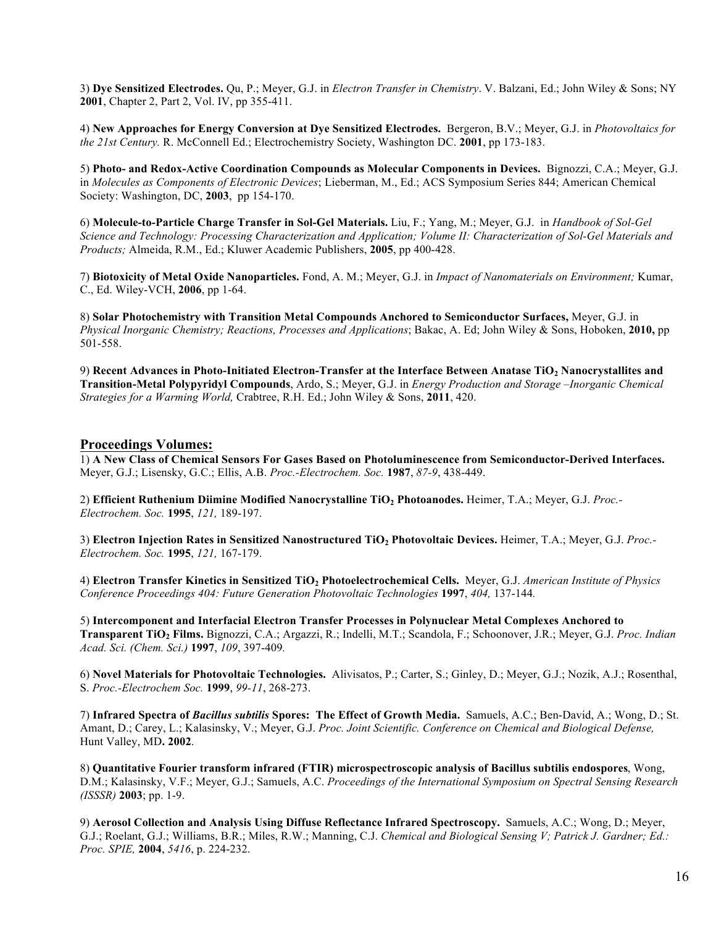3) **Dye Sensitized Electrodes.** Qu, P.; Meyer, G.J. in *Electron Transfer in Chemistry*. V. Balzani, Ed.; John Wiley & Sons; NY **2001**, Chapter 2, Part 2, Vol. IV, pp 355-411.

4) **New Approaches for Energy Conversion at Dye Sensitized Electrodes.** Bergeron, B.V.; Meyer, G.J. in *Photovoltaics for the 21st Century.* R. McConnell Ed.; Electrochemistry Society, Washington DC. **2001**, pp 173-183.

5) **Photo- and Redox-Active Coordination Compounds as Molecular Components in Devices.** Bignozzi, C.A.; Meyer, G.J. in *Molecules as Components of Electronic Devices*; Lieberman, M., Ed.; ACS Symposium Series 844; American Chemical Society: Washington, DC, **2003**, pp 154-170.

6) **Molecule-to-Particle Charge Transfer in Sol-Gel Materials.** Liu, F.; Yang, M.; Meyer, G.J. in *Handbook of Sol-Gel Science and Technology: Processing Characterization and Application; Volume II: Characterization of Sol-Gel Materials and Products;* Almeida, R.M., Ed.; Kluwer Academic Publishers, **2005**, pp 400-428.

7) **Biotoxicity of Metal Oxide Nanoparticles.** Fond, A. M.; Meyer, G.J. in *Impact of Nanomaterials on Environment;* Kumar, C., Ed. Wiley-VCH, **2006**, pp 1-64.

8) **Solar Photochemistry with Transition Metal Compounds Anchored to Semiconductor Surfaces,** Meyer, G.J. in *Physical Inorganic Chemistry; Reactions, Processes and Applications*; Bakac, A. Ed; John Wiley & Sons, Hoboken, **2010,** pp 501-558.

9) **Recent Advances in Photo-Initiated Electron-Transfer at the Interface Between Anatase TiO2 Nanocrystallites and Transition-Metal Polypyridyl Compounds**, Ardo, S.; Meyer, G.J. in *Energy Production and Storage –Inorganic Chemical Strategies for a Warming World,* Crabtree, R.H. Ed.; John Wiley & Sons, **2011**, 420.

## **Proceedings Volumes:**

1) **A New Class of Chemical Sensors For Gases Based on Photoluminescence from Semiconductor-Derived Interfaces.** Meyer, G.J.; Lisensky, G.C.; Ellis, A.B. *Proc.-Electrochem. Soc.* **1987**, *87-9*, 438-449.

2) **Efficient Ruthenium Diimine Modified Nanocrystalline TiO2 Photoanodes.** Heimer, T.A.; Meyer, G.J. *Proc.- Electrochem. Soc.* **1995**, *121,* 189-197.

3) **Electron Injection Rates in Sensitized Nanostructured TiO2 Photovoltaic Devices.** Heimer, T.A.; Meyer, G.J. *Proc.- Electrochem. Soc.* **1995**, *121,* 167-179.

4) **Electron Transfer Kinetics in Sensitized TiO2 Photoelectrochemical Cells.** Meyer, G.J. *American Institute of Physics Conference Proceedings 404: Future Generation Photovoltaic Technologies* **1997**, *404,* 137-144*.*

5) **Intercomponent and Interfacial Electron Transfer Processes in Polynuclear Metal Complexes Anchored to Transparent TiO2 Films.** Bignozzi, C.A.; Argazzi, R.; Indelli, M.T.; Scandola, F.; Schoonover, J.R.; Meyer, G.J. *Proc. Indian Acad. Sci. (Chem. Sci.)* **1997**, *109*, 397-409*.*

6) **Novel Materials for Photovoltaic Technologies.** Alivisatos, P.; Carter, S.; Ginley, D.; Meyer, G.J.; Nozik, A.J.; Rosenthal, S. *Proc.-Electrochem Soc.* **1999**, *99-11*, 268-273.

7) **Infrared Spectra of** *Bacillus subtilis* **Spores: The Effect of Growth Media.** Samuels, A.C.; Ben-David, A.; Wong, D.; St. Amant, D.; Carey, L.; Kalasinsky, V.; Meyer, G.J. *Proc. Joint Scientific. Conference on Chemical and Biological Defense,*  Hunt Valley, MD**. 2002**.

8) **Quantitative Fourier transform infrared (FTIR) microspectroscopic analysis of Bacillus subtilis endospores**, Wong, D.M.; Kalasinsky, V.F.; Meyer, G.J.; Samuels, A.C. *Proceedings of the International Symposium on Spectral Sensing Research (ISSSR)* **2003**; pp. 1-9.

9) **Aerosol Collection and Analysis Using Diffuse Reflectance Infrared Spectroscopy.** Samuels, A.C.; Wong, D.; Meyer, G.J.; Roelant, G.J.; Williams, B.R.; Miles, R.W.; Manning, C.J. *Chemical and Biological Sensing V; Patrick J. Gardner; Ed.: Proc. SPIE,* **2004**, *5416*, p. 224-232.